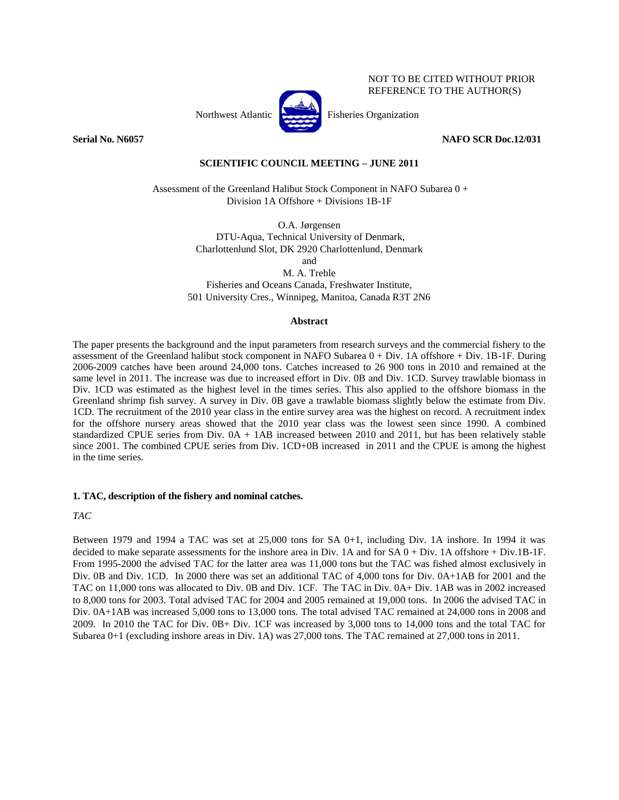

**Serial No. N6057 NAFO SCR Doc.12/031**

NOT TO BE CITED WITHOUT PRIOR REFERENCE TO THE AUTHOR(S)

# **SCIENTIFIC COUNCIL MEETING – JUNE 2011**

Assessment of the Greenland Halibut Stock Component in NAFO Subarea 0 + Division 1A Offshore + Divisions 1B-1F

> O.A. Jørgensen DTU-Aqua, Technical University of Denmark, Charlottenlund Slot, DK 2920 Charlottenlund, Denmark

> > and

M. A. Treble Fisheries and Oceans Canada, Freshwater Institute, 501 University Cres., Winnipeg, Manitoa, Canada R3T 2N6

# **Abstract**

The paper presents the background and the input parameters from research surveys and the commercial fishery to the assessment of the Greenland halibut stock component in NAFO Subarea 0 + Div. 1A offshore + Div. 1B-1F. During 2006-2009 catches have been around 24,000 tons. Catches increased to 26 900 tons in 2010 and remained at the same level in 2011. The increase was due to increased effort in Div. 0B and Div. 1CD. Survey trawlable biomass in Div. 1CD was estimated as the highest level in the times series. This also applied to the offshore biomass in the Greenland shrimp fish survey. A survey in Div. 0B gave a trawlable biomass slightly below the estimate from Div. 1CD. The recruitment of the 2010 year class in the entire survey area was the highest on record. A recruitment index for the offshore nursery areas showed that the 2010 year class was the lowest seen since 1990. A combined standardized CPUE series from Div. 0A + 1AB increased between 2010 and 2011, but has been relatively stable since 2001. The combined CPUE series from Div. 1CD+0B increased in 2011 and the CPUE is among the highest in the time series.

# **1. TAC, description of the fishery and nominal catches.**

# *TAC*

Between 1979 and 1994 a TAC was set at 25,000 tons for SA 0+1, including Div. 1A inshore. In 1994 it was decided to make separate assessments for the inshore area in Div. 1A and for SA 0 + Div. 1A offshore + Div.1B-1F. From 1995-2000 the advised TAC for the latter area was 11,000 tons but the TAC was fished almost exclusively in Div. 0B and Div. 1CD. In 2000 there was set an additional TAC of 4,000 tons for Div. 0A+1AB for 2001 and the TAC on 11,000 tons was allocated to Div. 0B and Div. 1CF. The TAC in Div. 0A+ Div. 1AB was in 2002 increased to 8,000 tons for 2003. Total advised TAC for 2004 and 2005 remained at 19,000 tons. In 2006 the advised TAC in Div. 0A+1AB was increased 5,000 tons to 13,000 tons. The total advised TAC remained at 24,000 tons in 2008 and 2009. In 2010 the TAC for Div. 0B+ Div. 1CF was increased by 3,000 tons to 14,000 tons and the total TAC for Subarea 0+1 (excluding inshore areas in Div. 1A) was 27,000 tons. The TAC remained at 27,000 tons in 2011.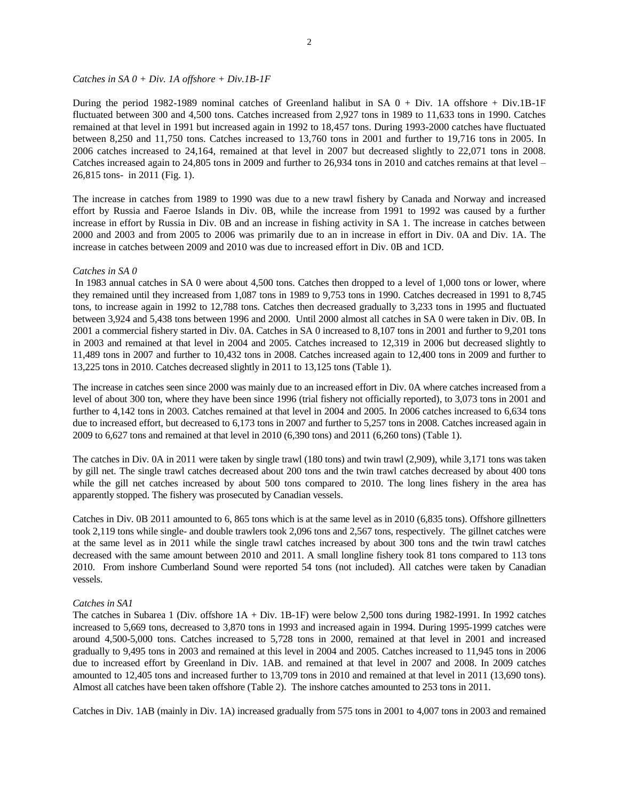#### *Catches in SA 0 + Div. 1A offshore + Div.1B-1F*

During the period 1982-1989 nominal catches of Greenland halibut in SA  $0 + Div.$  1A offshore + Div.1B-1F fluctuated between 300 and 4,500 tons. Catches increased from 2,927 tons in 1989 to 11,633 tons in 1990. Catches remained at that level in 1991 but increased again in 1992 to 18,457 tons. During 1993-2000 catches have fluctuated between 8,250 and 11,750 tons. Catches increased to 13,760 tons in 2001 and further to 19,716 tons in 2005. In 2006 catches increased to 24,164, remained at that level in 2007 but decreased slightly to 22,071 tons in 2008. Catches increased again to 24,805 tons in 2009 and further to 26,934 tons in 2010 and catches remains at that level – 26,815 tons- in 2011 (Fig. 1).

The increase in catches from 1989 to 1990 was due to a new trawl fishery by Canada and Norway and increased effort by Russia and Faeroe Islands in Div. 0B, while the increase from 1991 to 1992 was caused by a further increase in effort by Russia in Div. 0B and an increase in fishing activity in SA 1. The increase in catches between 2000 and 2003 and from 2005 to 2006 was primarily due to an in increase in effort in Div. 0A and Div. 1A. The increase in catches between 2009 and 2010 was due to increased effort in Div. 0B and 1CD.

#### *Catches in SA 0*

In 1983 annual catches in SA 0 were about 4,500 tons. Catches then dropped to a level of 1,000 tons or lower, where they remained until they increased from 1,087 tons in 1989 to 9,753 tons in 1990. Catches decreased in 1991 to 8,745 tons, to increase again in 1992 to 12,788 tons. Catches then decreased gradually to 3,233 tons in 1995 and fluctuated between 3,924 and 5,438 tons between 1996 and 2000. Until 2000 almost all catches in SA 0 were taken in Div. 0B. In 2001 a commercial fishery started in Div. 0A. Catches in SA 0 increased to 8,107 tons in 2001 and further to 9,201 tons in 2003 and remained at that level in 2004 and 2005. Catches increased to 12,319 in 2006 but decreased slightly to 11,489 tons in 2007 and further to 10,432 tons in 2008. Catches increased again to 12,400 tons in 2009 and further to 13,225 tons in 2010. Catches decreased slightly in 2011 to 13,125 tons (Table 1).

The increase in catches seen since 2000 was mainly due to an increased effort in Div. 0A where catches increased from a level of about 300 ton, where they have been since 1996 (trial fishery not officially reported), to 3,073 tons in 2001 and further to 4,142 tons in 2003. Catches remained at that level in 2004 and 2005. In 2006 catches increased to 6,634 tons due to increased effort, but decreased to 6,173 tons in 2007 and further to 5,257 tons in 2008. Catches increased again in 2009 to 6,627 tons and remained at that level in 2010 (6,390 tons) and 2011 (6,260 tons) (Table 1).

The catches in Div. 0A in 2011 were taken by single trawl (180 tons) and twin trawl (2,909), while 3,171 tons was taken by gill net. The single trawl catches decreased about 200 tons and the twin trawl catches decreased by about 400 tons while the gill net catches increased by about 500 tons compared to 2010. The long lines fishery in the area has apparently stopped. The fishery was prosecuted by Canadian vessels.

Catches in Div. 0B 2011 amounted to 6, 865 tons which is at the same level as in 2010 (6,835 tons). Offshore gillnetters took 2,119 tons while single- and double trawlers took 2,096 tons and 2,567 tons, respectively. The gillnet catches were at the same level as in 2011 while the single trawl catches increased by about 300 tons and the twin trawl catches decreased with the same amount between 2010 and 2011. A small longline fishery took 81 tons compared to 113 tons 2010. From inshore Cumberland Sound were reported 54 tons (not included). All catches were taken by Canadian vessels.

# *Catches in SA1*

The catches in Subarea 1 (Div. offshore 1A + Div. 1B-1F) were below 2,500 tons during 1982-1991. In 1992 catches increased to 5,669 tons, decreased to 3,870 tons in 1993 and increased again in 1994. During 1995-1999 catches were around 4,500-5,000 tons. Catches increased to 5,728 tons in 2000, remained at that level in 2001 and increased gradually to 9,495 tons in 2003 and remained at this level in 2004 and 2005. Catches increased to 11,945 tons in 2006 due to increased effort by Greenland in Div. 1AB. and remained at that level in 2007 and 2008. In 2009 catches amounted to 12,405 tons and increased further to 13,709 tons in 2010 and remained at that level in 2011 (13,690 tons). Almost all catches have been taken offshore (Table 2). The inshore catches amounted to 253 tons in 2011.

Catches in Div. 1AB (mainly in Div. 1A) increased gradually from 575 tons in 2001 to 4,007 tons in 2003 and remained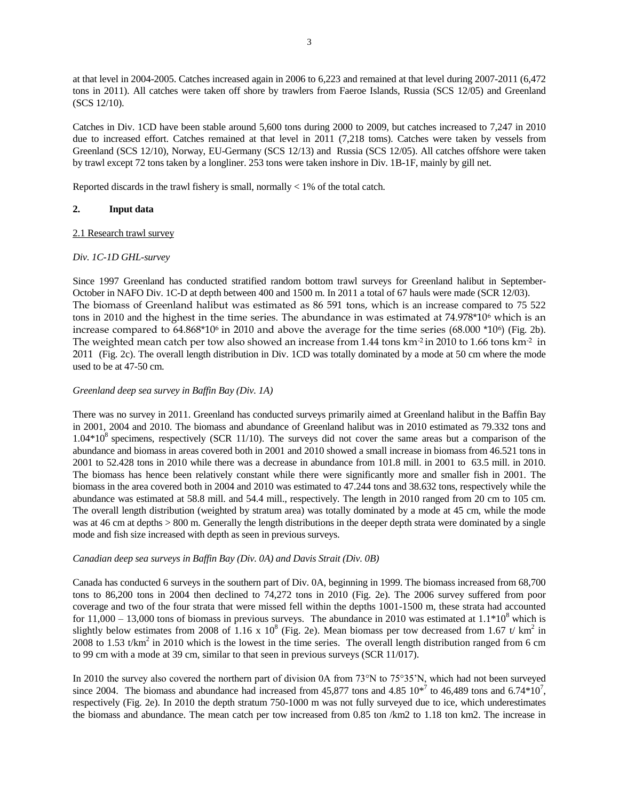at that level in 2004-2005. Catches increased again in 2006 to 6,223 and remained at that level during 2007-2011 (6,472 tons in 2011). All catches were taken off shore by trawlers from Faeroe Islands, Russia (SCS 12/05) and Greenland (SCS 12/10).

Catches in Div. 1CD have been stable around 5,600 tons during 2000 to 2009, but catches increased to 7,247 in 2010 due to increased effort. Catches remained at that level in 2011 (7,218 toms). Catches were taken by vessels from Greenland (SCS 12/10), Norway, EU-Germany (SCS 12/13) and Russia (SCS 12/05). All catches offshore were taken by trawl except 72 tons taken by a longliner. 253 tons were taken inshore in Div. 1B-1F, mainly by gill net.

Reported discards in the trawl fishery is small, normally  $\langle 1\%$  of the total catch.

# **2. Input data**

# 2.1 Research trawl survey

# *Div. 1C-1D GHL-survey*

Since 1997 Greenland has conducted stratified random bottom trawl surveys for Greenland halibut in September-October in NAFO Div. 1C-D at depth between 400 and 1500 m. In 2011 a total of 67 hauls were made (SCR 12/03). The biomass of Greenland halibut was estimated as 86 591 tons, which is an increase compared to 75 522 tons in 2010 and the highest in the time series. The abundance in was estimated at 74.978\*10<sup>6</sup> which is an increase compared to  $64.868*10<sup>6</sup>$  in 2010 and above the average for the time series  $(68.000 *10<sup>6</sup>)$  (Fig. 2b). The weighted mean catch per tow also showed an increase from 1.44 tons km<sup>-2</sup> in 2010 to 1.66 tons km<sup>-2</sup> in 2011 (Fig. 2c). The overall length distribution in Div. 1CD was totally dominated by a mode at 50 cm where the mode used to be at 47-50 cm.

# *Greenland deep sea survey in Baffin Bay (Div. 1A)*

There was no survey in 2011. Greenland has conducted surveys primarily aimed at Greenland halibut in the Baffin Bay in 2001, 2004 and 2010. The biomass and abundance of Greenland halibut was in 2010 estimated as 79.332 tons and  $1.04*10<sup>8</sup>$  specimens, respectively (SCR 11/10). The surveys did not cover the same areas but a comparison of the abundance and biomass in areas covered both in 2001 and 2010 showed a small increase in biomass from 46.521 tons in 2001 to 52.428 tons in 2010 while there was a decrease in abundance from 101.8 mill. in 2001 to 63.5 mill. in 2010. The biomass has hence been relatively constant while there were significantly more and smaller fish in 2001. The biomass in the area covered both in 2004 and 2010 was estimated to 47.244 tons and 38.632 tons, respectively while the abundance was estimated at 58.8 mill. and 54.4 mill., respectively. The length in 2010 ranged from 20 cm to 105 cm. The overall length distribution (weighted by stratum area) was totally dominated by a mode at 45 cm, while the mode was at 46 cm at depths  $> 800$  m. Generally the length distributions in the deeper depth strata were dominated by a single mode and fish size increased with depth as seen in previous surveys.

# *Canadian deep sea surveys in Baffin Bay (Div. 0A) and Davis Strait (Div. 0B)*

Canada has conducted 6 surveys in the southern part of Div. 0A, beginning in 1999. The biomass increased from 68,700 tons to 86,200 tons in 2004 then declined to 74,272 tons in 2010 (Fig. 2e). The 2006 survey suffered from poor coverage and two of the four strata that were missed fell within the depths 1001-1500 m, these strata had accounted for 11,000 – 13,000 tons of biomass in previous surveys. The abundance in 2010 was estimated at  $1.1*10<sup>8</sup>$  which is slightly below estimates from 2008 of 1.16 x  $10^8$  (Fig. 2e). Mean biomass per tow decreased from 1.67 t/ km<sup>2</sup> in 2008 to 1.53  $t/km^2$  in 2010 which is the lowest in the time series. The overall length distribution ranged from 6 cm to 99 cm with a mode at 39 cm, similar to that seen in previous surveys (SCR 11/017).

In 2010 the survey also covered the northern part of division 0A from 73°N to 75°35'N, which had not been surveyed since 2004. The biomass and abundance had increased from 45,877 tons and 4.85  $10^{*7}$  to 46,489 tons and 6.74 $*10^7$ , respectively (Fig. 2e). In 2010 the depth stratum 750-1000 m was not fully surveyed due to ice, which underestimates the biomass and abundance. The mean catch per tow increased from 0.85 ton /km2 to 1.18 ton km2. The increase in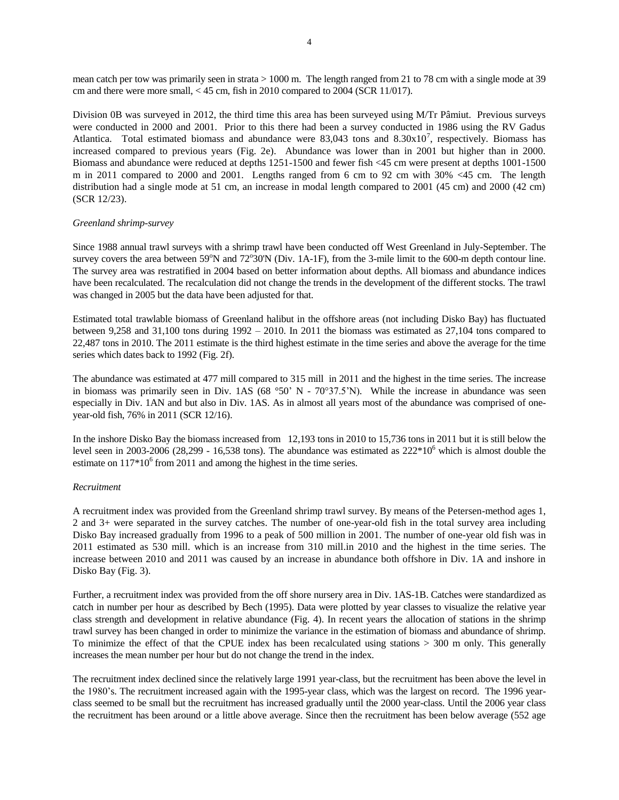mean catch per tow was primarily seen in strata > 1000 m. The length ranged from 21 to 78 cm with a single mode at 39 cm and there were more small, < 45 cm, fish in 2010 compared to 2004 (SCR 11/017).

Division 0B was surveyed in 2012, the third time this area has been surveyed using M/Tr Pâmiut. Previous surveys were conducted in 2000 and 2001. Prior to this there had been a survey conducted in 1986 using the RV Gadus Atlantica. Total estimated biomass and abundance were  $83,043$  tons and  $8.30 \times 10^7$ , respectively. Biomass has increased compared to previous years (Fig. 2e). Abundance was lower than in 2001 but higher than in 2000. Biomass and abundance were reduced at depths 1251-1500 and fewer fish <45 cm were present at depths 1001-1500 m in 2011 compared to 2000 and 2001. Lengths ranged from 6 cm to 92 cm with 30% <45 cm. The length distribution had a single mode at 51 cm, an increase in modal length compared to 2001 (45 cm) and 2000 (42 cm) (SCR 12/23).

#### *Greenland shrimp-survey*

Since 1988 annual trawl surveys with a shrimp trawl have been conducted off West Greenland in July-September. The survey covers the area between  $59^{\circ}$ N and  $72^{\circ}30^{\circ}$ N (Div. 1A-1F), from the 3-mile limit to the 600-m depth contour line. The survey area was restratified in 2004 based on better information about depths. All biomass and abundance indices have been recalculated. The recalculation did not change the trends in the development of the different stocks. The trawl was changed in 2005 but the data have been adjusted for that.

Estimated total trawlable biomass of Greenland halibut in the offshore areas (not including Disko Bay) has fluctuated between 9,258 and 31,100 tons during 1992 – 2010. In 2011 the biomass was estimated as 27,104 tons compared to 22,487 tons in 2010. The 2011 estimate is the third highest estimate in the time series and above the average for the time series which dates back to 1992 (Fig. 2f).

The abundance was estimated at 477 mill compared to 315 mill in 2011 and the highest in the time series. The increase in biomass was primarily seen in Div. 1AS (68 °50' N - 70°37.5'N). While the increase in abundance was seen especially in Div. 1AN and but also in Div. 1AS. As in almost all years most of the abundance was comprised of oneyear-old fish, 76% in 2011 (SCR 12/16).

In the inshore Disko Bay the biomass increased from 12,193 tons in 2010 to 15,736 tons in 2011 but it is still below the level seen in 2003-2006 (28,299 - 16,538 tons). The abundance was estimated as  $222*10^6$  which is almost double the estimate on  $117*10^6$  from 2011 and among the highest in the time series.

#### *Recruitment*

A recruitment index was provided from the Greenland shrimp trawl survey. By means of the Petersen-method ages 1, 2 and 3+ were separated in the survey catches. The number of one-year-old fish in the total survey area including Disko Bay increased gradually from 1996 to a peak of 500 million in 2001. The number of one-year old fish was in 2011 estimated as 530 mill. which is an increase from 310 mill.in 2010 and the highest in the time series. The increase between 2010 and 2011 was caused by an increase in abundance both offshore in Div. 1A and inshore in Disko Bay (Fig. 3).

Further, a recruitment index was provided from the off shore nursery area in Div. 1AS-1B. Catches were standardized as catch in number per hour as described by Bech (1995). Data were plotted by year classes to visualize the relative year class strength and development in relative abundance (Fig. 4). In recent years the allocation of stations in the shrimp trawl survey has been changed in order to minimize the variance in the estimation of biomass and abundance of shrimp. To minimize the effect of that the CPUE index has been recalculated using stations > 300 m only. This generally increases the mean number per hour but do not change the trend in the index.

The recruitment index declined since the relatively large 1991 year-class, but the recruitment has been above the level in the 1980's. The recruitment increased again with the 1995-year class, which was the largest on record. The 1996 yearclass seemed to be small but the recruitment has increased gradually until the 2000 year-class. Until the 2006 year class the recruitment has been around or a little above average. Since then the recruitment has been below average (552 age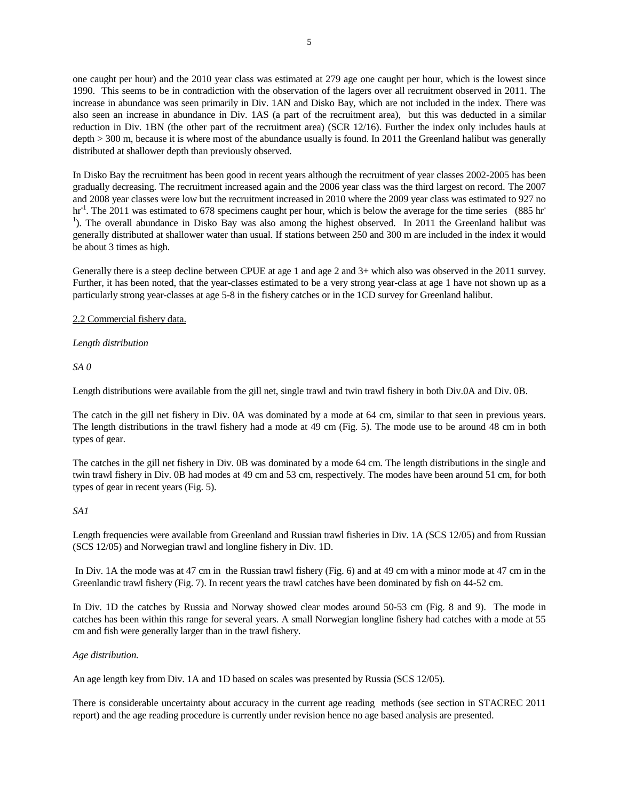one caught per hour) and the 2010 year class was estimated at 279 age one caught per hour, which is the lowest since 1990. This seems to be in contradiction with the observation of the lagers over all recruitment observed in 2011. The increase in abundance was seen primarily in Div. 1AN and Disko Bay, which are not included in the index. There was also seen an increase in abundance in Div. 1AS (a part of the recruitment area), but this was deducted in a similar reduction in Div. 1BN (the other part of the recruitment area) (SCR 12/16). Further the index only includes hauls at depth > 300 m, because it is where most of the abundance usually is found. In 2011 the Greenland halibut was generally distributed at shallower depth than previously observed.

In Disko Bay the recruitment has been good in recent years although the recruitment of year classes 2002-2005 has been gradually decreasing. The recruitment increased again and the 2006 year class was the third largest on record. The 2007 and 2008 year classes were low but the recruitment increased in 2010 where the 2009 year class was estimated to 927 no hr<sup>-1</sup>. The 2011 was estimated to 678 specimens caught per hour, which is below the average for the time series (885 hr<sup>-1</sup>). <sup>1</sup>). The overall abundance in Disko Bay was also among the highest observed. In 2011 the Greenland halibut was generally distributed at shallower water than usual. If stations between 250 and 300 m are included in the index it would be about 3 times as high.

Generally there is a steep decline between CPUE at age 1 and age 2 and 3+ which also was observed in the 2011 survey. Further, it has been noted, that the year-classes estimated to be a very strong year-class at age 1 have not shown up as a particularly strong year-classes at age 5-8 in the fishery catches or in the 1CD survey for Greenland halibut.

# 2.2 Commercial fishery data.

# *Length distribution*

*SA 0*

Length distributions were available from the gill net, single trawl and twin trawl fishery in both Div.0A and Div. 0B.

The catch in the gill net fishery in Div. 0A was dominated by a mode at 64 cm, similar to that seen in previous years. The length distributions in the trawl fishery had a mode at 49 cm (Fig. 5). The mode use to be around 48 cm in both types of gear.

The catches in the gill net fishery in Div. 0B was dominated by a mode 64 cm. The length distributions in the single and twin trawl fishery in Div. 0B had modes at 49 cm and 53 cm, respectively. The modes have been around 51 cm, for both types of gear in recent years (Fig. 5).

# *SA1*

Length frequencies were available from Greenland and Russian trawl fisheries in Div. 1A (SCS 12/05) and from Russian (SCS 12/05) and Norwegian trawl and longline fishery in Div. 1D.

In Div. 1A the mode was at 47 cm in the Russian trawl fishery (Fig. 6) and at 49 cm with a minor mode at 47 cm in the Greenlandic trawl fishery (Fig. 7). In recent years the trawl catches have been dominated by fish on 44-52 cm.

In Div. 1D the catches by Russia and Norway showed clear modes around 50-53 cm (Fig. 8 and 9). The mode in catches has been within this range for several years. A small Norwegian longline fishery had catches with a mode at 55 cm and fish were generally larger than in the trawl fishery.

# *Age distribution.*

An age length key from Div. 1A and 1D based on scales was presented by Russia (SCS 12/05).

There is considerable uncertainty about accuracy in the current age reading methods (see section in STACREC 2011 report) and the age reading procedure is currently under revision hence no age based analysis are presented.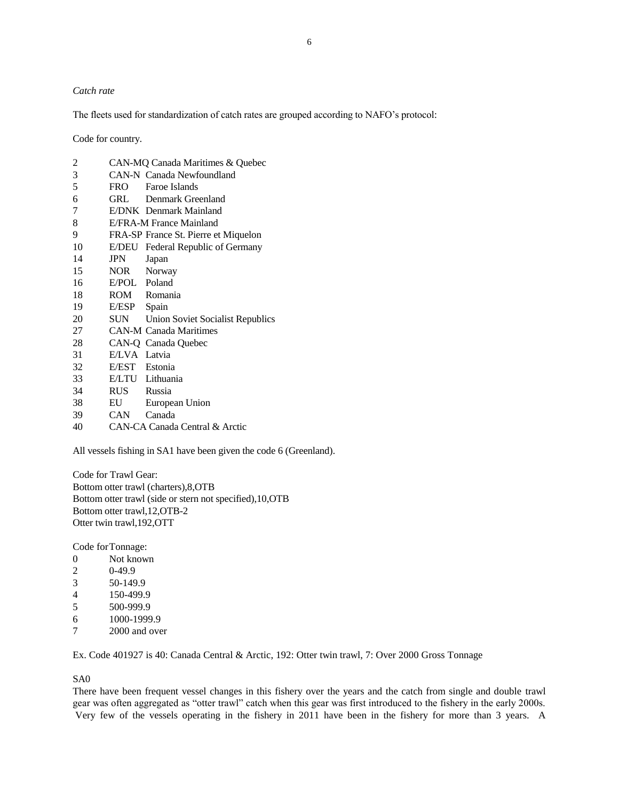### *Catch rate*

The fleets used for standardization of catch rates are grouped according to NAFO's protocol:

Code for country.

| 2             |                | CAN-MQ Canada Maritimes & Quebec        |
|---------------|----------------|-----------------------------------------|
| $\mathfrak 3$ |                | <b>CAN-N</b> Canada Newfoundland        |
| 5             | FRO <b>FRO</b> | Faroe Islands                           |
| 6             | GRL            | Denmark Greenland                       |
| 7             |                | E/DNK Denmark Mainland                  |
| 8             |                | E/FRA-M France Mainland                 |
| 9             |                | FRA-SP France St. Pierre et Miquelon    |
| 10            | E/DEU          | Federal Republic of Germany             |
| 14            | JPN            | Japan                                   |
| 15            | NOR Norway     |                                         |
| 16            | E/POL Poland   |                                         |
| 18            |                | ROM Romania                             |
| 19            | E/ESP          | Spain                                   |
| 20            | SUN 5          | <b>Union Soviet Socialist Republics</b> |
| 27            |                | <b>CAN-M Canada Maritimes</b>           |
| 28            |                | CAN-Q Canada Quebec                     |
| 31            | E/LVA Latvia   |                                         |
| 32            | E/EST Estonia  |                                         |
| 33            |                | E/LTU Lithuania                         |
| 34            | <b>RUS</b>     | Russia                                  |
| 38            | EU             | European Union                          |
| 39            | CAN –          | Canada                                  |
| 40            |                | CAN-CA Canada Central & Arctic          |

All vessels fishing in SA1 have been given the code 6 (Greenland).

Code for Trawl Gear: Bottom otter trawl (charters),8,OTB Bottom otter trawl (side or stern not specified),10,OTB Bottom otter trawl,12,OTB-2 Otter twin trawl,192,OTT

Code forTonnage:

- Not known
- 0-49.9
- 50-149.9
- 150-499.9
- 500-999.9
- 1000-1999.9
- 2000 and over

Ex. Code 401927 is 40: Canada Central & Arctic, 192: Otter twin trawl, 7: Over 2000 Gross Tonnage

### SA0

There have been frequent vessel changes in this fishery over the years and the catch from single and double trawl gear was often aggregated as "otter trawl" catch when this gear was first introduced to the fishery in the early 2000s. Very few of the vessels operating in the fishery in 2011 have been in the fishery for more than 3 years. A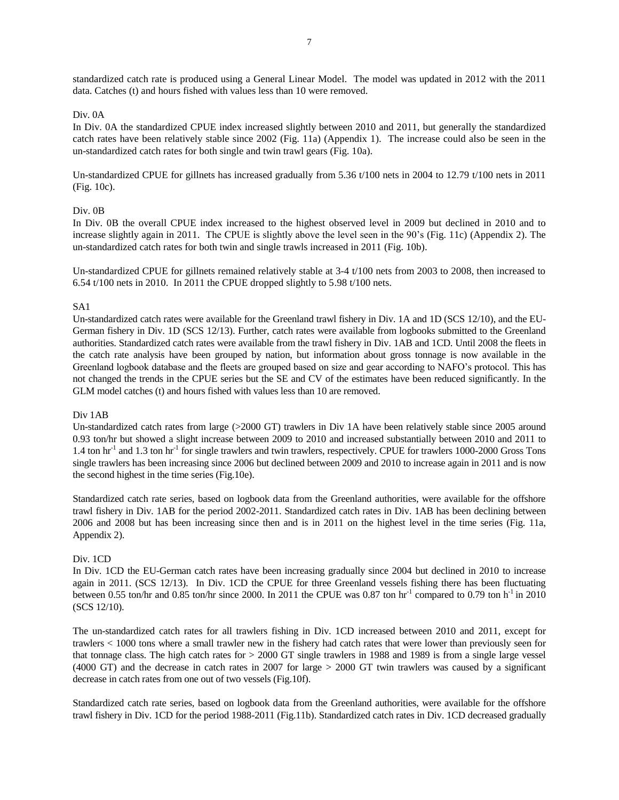standardized catch rate is produced using a General Linear Model. The model was updated in 2012 with the 2011 data. Catches (t) and hours fished with values less than 10 were removed.

### Div. 0A

In Div. 0A the standardized CPUE index increased slightly between 2010 and 2011, but generally the standardized catch rates have been relatively stable since 2002 (Fig. 11a) (Appendix 1). The increase could also be seen in the un-standardized catch rates for both single and twin trawl gears (Fig. 10a).

Un-standardized CPUE for gillnets has increased gradually from 5.36 t/100 nets in 2004 to 12.79 t/100 nets in 2011 (Fig. 10c).

# Div. 0B

In Div. 0B the overall CPUE index increased to the highest observed level in 2009 but declined in 2010 and to increase slightly again in 2011. The CPUE is slightly above the level seen in the 90's (Fig. 11c) (Appendix 2). The un-standardized catch rates for both twin and single trawls increased in 2011 (Fig. 10b).

Un-standardized CPUE for gillnets remained relatively stable at 3-4 t/100 nets from 2003 to 2008, then increased to 6.54 t/100 nets in 2010. In 2011 the CPUE dropped slightly to 5.98 t/100 nets.

# SA1

Un-standardized catch rates were available for the Greenland trawl fishery in Div. 1A and 1D (SCS 12/10), and the EU-German fishery in Div. 1D (SCS 12/13). Further, catch rates were available from logbooks submitted to the Greenland authorities. Standardized catch rates were available from the trawl fishery in Div. 1AB and 1CD. Until 2008 the fleets in the catch rate analysis have been grouped by nation, but information about gross tonnage is now available in the Greenland logbook database and the fleets are grouped based on size and gear according to NAFO's protocol. This has not changed the trends in the CPUE series but the SE and CV of the estimates have been reduced significantly. In the GLM model catches (t) and hours fished with values less than 10 are removed.

#### Div 1AB

Un-standardized catch rates from large (>2000 GT) trawlers in Div 1A have been relatively stable since 2005 around 0.93 ton/hr but showed a slight increase between 2009 to 2010 and increased substantially between 2010 and 2011 to 1.4 ton hr<sup>-1</sup> and 1.3 ton hr<sup>-1</sup> for single trawlers and twin trawlers, respectively. CPUE for trawlers 1000-2000 Gross Tons single trawlers has been increasing since 2006 but declined between 2009 and 2010 to increase again in 2011 and is now the second highest in the time series (Fig.10e).

Standardized catch rate series, based on logbook data from the Greenland authorities, were available for the offshore trawl fishery in Div. 1AB for the period 2002-2011. Standardized catch rates in Div. 1AB has been declining between 2006 and 2008 but has been increasing since then and is in 2011 on the highest level in the time series (Fig. 11a, Appendix 2).

#### Div. 1CD

In Div. 1CD the EU-German catch rates have been increasing gradually since 2004 but declined in 2010 to increase again in 2011. (SCS 12/13). In Div. 1CD the CPUE for three Greenland vessels fishing there has been fluctuating between 0.55 ton/hr and 0.85 ton/hr since 2000. In 2011 the CPUE was 0.87 ton hr<sup>-1</sup> compared to 0.79 ton h<sup>-1</sup> in 2010 (SCS 12/10).

The un-standardized catch rates for all trawlers fishing in Div. 1CD increased between 2010 and 2011, except for trawlers < 1000 tons where a small trawler new in the fishery had catch rates that were lower than previously seen for that tonnage class. The high catch rates for > 2000 GT single trawlers in 1988 and 1989 is from a single large vessel (4000 GT) and the decrease in catch rates in 2007 for large > 2000 GT twin trawlers was caused by a significant decrease in catch rates from one out of two vessels (Fig.10f).

Standardized catch rate series, based on logbook data from the Greenland authorities, were available for the offshore trawl fishery in Div. 1CD for the period 1988-2011 (Fig.11b). Standardized catch rates in Div. 1CD decreased gradually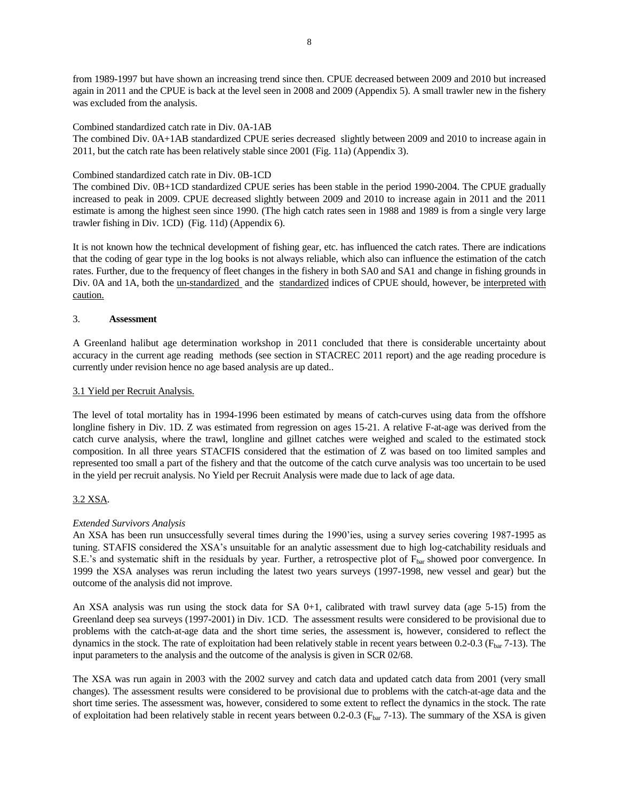from 1989-1997 but have shown an increasing trend since then. CPUE decreased between 2009 and 2010 but increased again in 2011 and the CPUE is back at the level seen in 2008 and 2009 (Appendix 5). A small trawler new in the fishery was excluded from the analysis.

Combined standardized catch rate in Div. 0A-1AB

The combined Div. 0A+1AB standardized CPUE series decreased slightly between 2009 and 2010 to increase again in 2011, but the catch rate has been relatively stable since 2001 (Fig. 11a) (Appendix 3).

# Combined standardized catch rate in Div. 0B-1CD

The combined Div. 0B+1CD standardized CPUE series has been stable in the period 1990-2004. The CPUE gradually increased to peak in 2009. CPUE decreased slightly between 2009 and 2010 to increase again in 2011 and the 2011 estimate is among the highest seen since 1990. (The high catch rates seen in 1988 and 1989 is from a single very large trawler fishing in Div. 1CD) (Fig. 11d) (Appendix 6).

It is not known how the technical development of fishing gear, etc. has influenced the catch rates. There are indications that the coding of gear type in the log books is not always reliable, which also can influence the estimation of the catch rates. Further, due to the frequency of fleet changes in the fishery in both SA0 and SA1 and change in fishing grounds in Div. 0A and 1A, both the un-standardized and the standardized indices of CPUE should, however, be interpreted with caution.

# 3. **Assessment**

A Greenland halibut age determination workshop in 2011 concluded that there is considerable uncertainty about accuracy in the current age reading methods (see section in STACREC 2011 report) and the age reading procedure is currently under revision hence no age based analysis are up dated..

# 3.1 Yield per Recruit Analysis.

The level of total mortality has in 1994-1996 been estimated by means of catch-curves using data from the offshore longline fishery in Div. 1D. Z was estimated from regression on ages 15-21. A relative F-at-age was derived from the catch curve analysis, where the trawl, longline and gillnet catches were weighed and scaled to the estimated stock composition. In all three years STACFIS considered that the estimation of Z was based on too limited samples and represented too small a part of the fishery and that the outcome of the catch curve analysis was too uncertain to be used in the yield per recruit analysis. No Yield per Recruit Analysis were made due to lack of age data.

# 3.2 XSA.

# *Extended Survivors Analysis*

An XSA has been run unsuccessfully several times during the 1990'ies, using a survey series covering 1987-1995 as tuning. STAFIS considered the XSA's unsuitable for an analytic assessment due to high log-catchability residuals and S.E.'s and systematic shift in the residuals by year. Further, a retrospective plot of Fbar showed poor convergence. In 1999 the XSA analyses was rerun including the latest two years surveys (1997-1998, new vessel and gear) but the outcome of the analysis did not improve.

An XSA analysis was run using the stock data for SA  $0+1$ , calibrated with trawl survey data (age 5-15) from the Greenland deep sea surveys (1997-2001) in Div. 1CD. The assessment results were considered to be provisional due to problems with the catch-at-age data and the short time series, the assessment is, however, considered to reflect the dynamics in the stock. The rate of exploitation had been relatively stable in recent years between  $0.2$ - $0.3$  ( $F_{bar}$ 7-13). The input parameters to the analysis and the outcome of the analysis is given in SCR 02/68.

The XSA was run again in 2003 with the 2002 survey and catch data and updated catch data from 2001 (very small changes). The assessment results were considered to be provisional due to problems with the catch-at-age data and the short time series. The assessment was, however, considered to some extent to reflect the dynamics in the stock. The rate of exploitation had been relatively stable in recent years between 0.2-0.3 ( $F_{bar}$  7-13). The summary of the XSA is given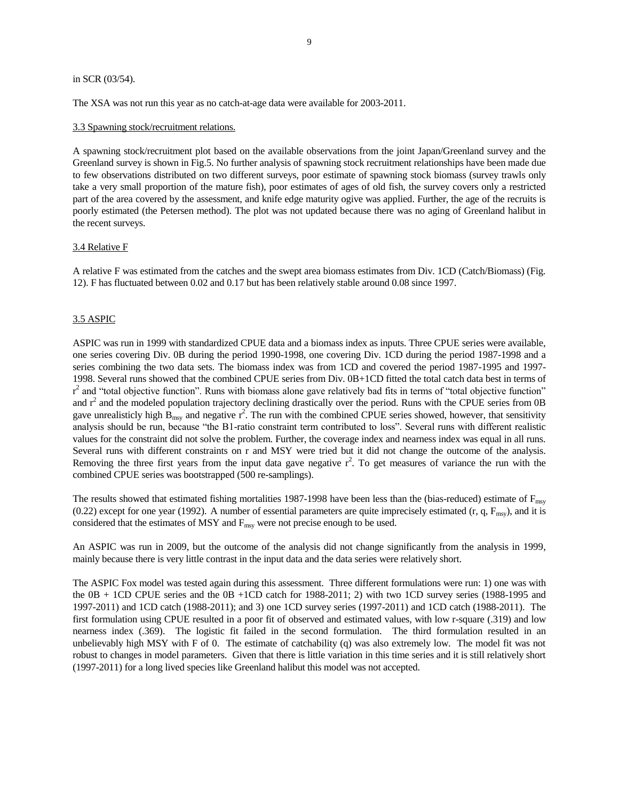#### in SCR (03/54).

The XSA was not run this year as no catch-at-age data were available for 2003-2011.

#### 3.3 Spawning stock/recruitment relations.

A spawning stock/recruitment plot based on the available observations from the joint Japan/Greenland survey and the Greenland survey is shown in Fig.5. No further analysis of spawning stock recruitment relationships have been made due to few observations distributed on two different surveys, poor estimate of spawning stock biomass (survey trawls only take a very small proportion of the mature fish), poor estimates of ages of old fish, the survey covers only a restricted part of the area covered by the assessment, and knife edge maturity ogive was applied. Further, the age of the recruits is poorly estimated (the Petersen method). The plot was not updated because there was no aging of Greenland halibut in the recent surveys.

### 3.4 Relative F

A relative F was estimated from the catches and the swept area biomass estimates from Div. 1CD (Catch/Biomass) (Fig. 12). F has fluctuated between 0.02 and 0.17 but has been relatively stable around 0.08 since 1997.

# 3.5 ASPIC

ASPIC was run in 1999 with standardized CPUE data and a biomass index as inputs. Three CPUE series were available, one series covering Div. 0B during the period 1990-1998, one covering Div. 1CD during the period 1987-1998 and a series combining the two data sets. The biomass index was from 1CD and covered the period 1987-1995 and 1997- 1998. Several runs showed that the combined CPUE series from Div. 0B+1CD fitted the total catch data best in terms of  $r^2$  and "total objective function". Runs with biomass alone gave relatively bad fits in terms of "total objective function" and  $r^2$  and the modeled population trajectory declining drastically over the period. Runs with the CPUE series from 0B gave unrealisticly high  $B_{\text{msy}}$  and negative  $r^2$ . The run with the combined CPUE series showed, however, that sensitivity analysis should be run, because "the B1-ratio constraint term contributed to loss". Several runs with different realistic values for the constraint did not solve the problem. Further, the coverage index and nearness index was equal in all runs. Several runs with different constraints on r and MSY were tried but it did not change the outcome of the analysis. Removing the three first years from the input data gave negative  $r^2$ . To get measures of variance the run with the combined CPUE series was bootstrapped (500 re-samplings).

The results showed that estimated fishing mortalities 1987-1998 have been less than the (bias-reduced) estimate of  $F_{\text{msy}}$ (0.22) except for one year (1992). A number of essential parameters are quite imprecisely estimated  $(r, q, F_{msy})$ , and it is considered that the estimates of MSY and  $F_{\text{msy}}$  were not precise enough to be used.

An ASPIC was run in 2009, but the outcome of the analysis did not change significantly from the analysis in 1999, mainly because there is very little contrast in the input data and the data series were relatively short.

The ASPIC Fox model was tested again during this assessment. Three different formulations were run: 1) one was with the 0B + 1CD CPUE series and the 0B +1CD catch for 1988-2011; 2) with two 1CD survey series (1988-1995 and 1997-2011) and 1CD catch (1988-2011); and 3) one 1CD survey series (1997-2011) and 1CD catch (1988-2011). The first formulation using CPUE resulted in a poor fit of observed and estimated values, with low r-square (.319) and low nearness index (.369). The logistic fit failed in the second formulation. The third formulation resulted in an unbelievably high MSY with F of 0. The estimate of catchability (q) was also extremely low. The model fit was not robust to changes in model parameters. Given that there is little variation in this time series and it is still relatively short (1997-2011) for a long lived species like Greenland halibut this model was not accepted.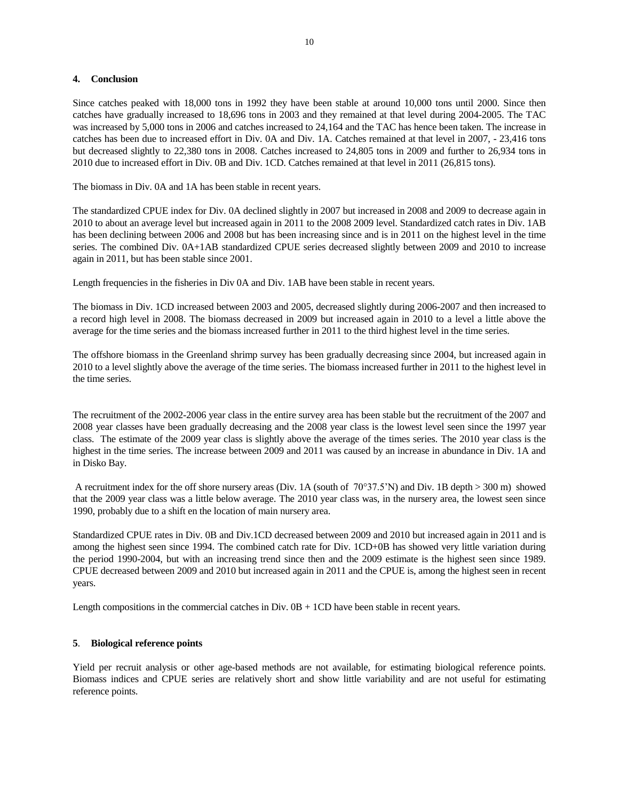### **4. Conclusion**

Since catches peaked with 18,000 tons in 1992 they have been stable at around 10,000 tons until 2000. Since then catches have gradually increased to 18,696 tons in 2003 and they remained at that level during 2004-2005. The TAC was increased by 5,000 tons in 2006 and catches increased to 24,164 and the TAC has hence been taken. The increase in catches has been due to increased effort in Div. 0A and Div. 1A. Catches remained at that level in 2007, - 23,416 tons but decreased slightly to 22,380 tons in 2008. Catches increased to 24,805 tons in 2009 and further to 26,934 tons in 2010 due to increased effort in Div. 0B and Div. 1CD. Catches remained at that level in 2011 (26,815 tons).

The biomass in Div. 0A and 1A has been stable in recent years.

The standardized CPUE index for Div. 0A declined slightly in 2007 but increased in 2008 and 2009 to decrease again in 2010 to about an average level but increased again in 2011 to the 2008 2009 level. Standardized catch rates in Div. 1AB has been declining between 2006 and 2008 but has been increasing since and is in 2011 on the highest level in the time series. The combined Div. 0A+1AB standardized CPUE series decreased slightly between 2009 and 2010 to increase again in 2011, but has been stable since 2001.

Length frequencies in the fisheries in Div 0A and Div. 1AB have been stable in recent years.

The biomass in Div. 1CD increased between 2003 and 2005, decreased slightly during 2006-2007 and then increased to a record high level in 2008. The biomass decreased in 2009 but increased again in 2010 to a level a little above the average for the time series and the biomass increased further in 2011 to the third highest level in the time series.

The offshore biomass in the Greenland shrimp survey has been gradually decreasing since 2004, but increased again in 2010 to a level slightly above the average of the time series. The biomass increased further in 2011 to the highest level in the time series.

The recruitment of the 2002-2006 year class in the entire survey area has been stable but the recruitment of the 2007 and 2008 year classes have been gradually decreasing and the 2008 year class is the lowest level seen since the 1997 year class. The estimate of the 2009 year class is slightly above the average of the times series. The 2010 year class is the highest in the time series. The increase between 2009 and 2011 was caused by an increase in abundance in Div. 1A and in Disko Bay.

A recruitment index for the off shore nursery areas (Div. 1A (south of  $70^{\circ}37.5^{\prime}$ N) and Div. 1B depth  $> 300$  m) showed that the 2009 year class was a little below average. The 2010 year class was, in the nursery area, the lowest seen since 1990, probably due to a shift en the location of main nursery area.

Standardized CPUE rates in Div. 0B and Div.1CD decreased between 2009 and 2010 but increased again in 2011 and is among the highest seen since 1994. The combined catch rate for Div. 1CD+0B has showed very little variation during the period 1990-2004, but with an increasing trend since then and the 2009 estimate is the highest seen since 1989. CPUE decreased between 2009 and 2010 but increased again in 2011 and the CPUE is, among the highest seen in recent years.

Length compositions in the commercial catches in Div. 0B + 1CD have been stable in recent years.

# **5**. **Biological reference points**

Yield per recruit analysis or other age-based methods are not available, for estimating biological reference points. Biomass indices and CPUE series are relatively short and show little variability and are not useful for estimating reference points.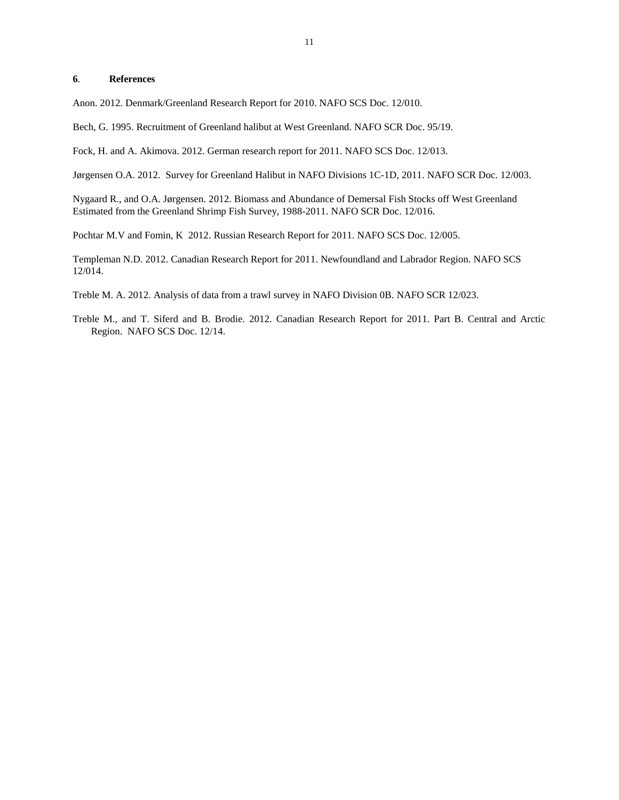### **6**. **References**

Anon. 2012. Denmark/Greenland Research Report for 2010. NAFO SCS Doc. 12/010.

Bech, G. 1995. Recruitment of Greenland halibut at West Greenland. NAFO SCR Doc. 95/19.

Fock, H. and A. Akimova. 2012. German research report for 2011. NAFO SCS Doc. 12/013.

Jørgensen O.A. 2012. Survey for Greenland Halibut in NAFO Divisions 1C-1D, 2011. NAFO SCR Doc. 12/003.

Nygaard R., and O.A. Jørgensen. 2012. Biomass and Abundance of Demersal Fish Stocks off West Greenland Estimated from the Greenland Shrimp Fish Survey, 1988-2011. NAFO SCR Doc. 12/016.

Pochtar M.V and Fomin, K 2012. Russian Research Report for 2011. NAFO SCS Doc. 12/005.

Templeman N.D. 2012. Canadian Research Report for 2011. Newfoundland and Labrador Region. NAFO SCS 12/014.

Treble M. A. 2012. Analysis of data from a trawl survey in NAFO Division 0B. NAFO SCR 12/023.

Treble M., and T. Siferd and B. Brodie. 2012. Canadian Research Report for 2011. Part B. Central and Arctic Region. NAFO SCS Doc. 12/14.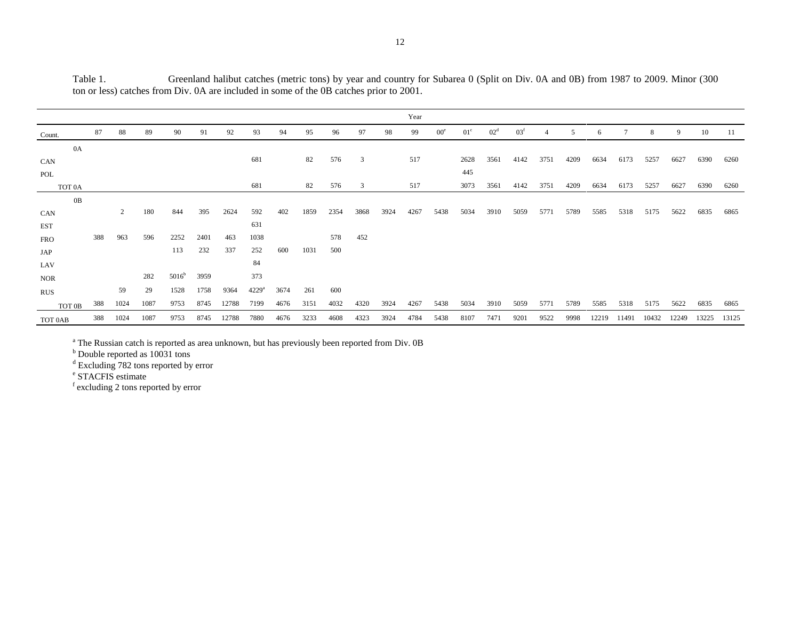|                    |     |                |      |                   |      |       |                |      |      |      |      |      | Year |                 |                 |                 |                 |      |                |      |      |      |      |      |      |
|--------------------|-----|----------------|------|-------------------|------|-------|----------------|------|------|------|------|------|------|-----------------|-----------------|-----------------|-----------------|------|----------------|------|------|------|------|------|------|
| Count.             | 87  | 88             | 89   | 90                | 91   | 92    | 93             | 94   | 95   | 96   | 97   | 98   | 99   | 00 <sup>e</sup> | 01 <sup>c</sup> | 02 <sup>d</sup> | 03 <sup>f</sup> |      | $\overline{5}$ | 6    |      | 8    | 9    | 10   | -11  |
| 0A                 |     |                |      |                   |      |       |                |      |      |      |      |      |      |                 |                 |                 |                 |      |                |      |      |      |      |      |      |
| CAN                |     |                |      |                   |      |       | 681            |      | 82   | 576  | 3    |      | 517  |                 | 2628            | 3561            | 4142            | 3751 | 4209           | 6634 | 6173 | 5257 | 6627 | 6390 | 6260 |
| POL                |     |                |      |                   |      |       |                |      |      |      |      |      |      |                 | 445             |                 |                 |      |                |      |      |      |      |      |      |
| TOT <sub>0</sub> A |     |                |      |                   |      |       | 681            |      | 82   | 576  | 3    |      | 517  |                 | 3073            | 3561            | 4142            | 3751 | 4209           | 6634 | 6173 | 5257 | 6627 | 6390 | 6260 |
| 0B                 |     |                |      |                   |      |       |                |      |      |      |      |      |      |                 |                 |                 |                 |      |                |      |      |      |      |      |      |
| CAN                |     | $\overline{2}$ | 180  | 844               | 395  | 2624  | 592            | 402  | 1859 | 2354 | 3868 | 3924 | 4267 | 5438            | 5034            | 3910            | 5059            | 5771 | 5789           | 5585 | 5318 | 5175 | 5622 | 6835 | 6865 |
| <b>EST</b>         |     |                |      |                   |      |       | 631            |      |      |      |      |      |      |                 |                 |                 |                 |      |                |      |      |      |      |      |      |
| <b>FRO</b>         | 388 | 963            | 596  | 2252              | 2401 | 463   | 1038           |      |      | 578  | 452  |      |      |                 |                 |                 |                 |      |                |      |      |      |      |      |      |
| JAP                |     |                |      | 113               | 232  | 337   | 252            | 600  | 1031 | 500  |      |      |      |                 |                 |                 |                 |      |                |      |      |      |      |      |      |
| LAV                |     |                |      |                   |      |       | 84             |      |      |      |      |      |      |                 |                 |                 |                 |      |                |      |      |      |      |      |      |
| <b>NOR</b>         |     |                | 282  | 5016 <sup>b</sup> | 3959 |       | 373            |      |      |      |      |      |      |                 |                 |                 |                 |      |                |      |      |      |      |      |      |
| <b>RUS</b>         |     | 59             | 29   | 1528              | 1758 | 9364  | $4229^{\rm a}$ | 3674 | 261  | 600  |      |      |      |                 |                 |                 |                 |      |                |      |      |      |      |      |      |
| TOT 0B             | 388 | 1024           | 1087 | 9753              | 8745 | 12788 | 7199           | 4676 | 3151 | 4032 | 4320 | 3924 | 4267 | 5438            | 5034            | 3910            | 5059            | 5771 | 5789           | 5585 | 5318 | 5175 | 5622 | 6835 | 6865 |

TOT 0AB 388 1024 1087 9753 8745 12788 7880 4676 3233 4608 4323 3924 4784 5438 8107 7471 9201 9522 9998 12219 11491 10432 12249 13225 13125

Table 1. Greenland halibut catches (metric tons) by year and country for Subarea 0 (Split on Div. 0A and 0B) from 1987 to 2009. Minor (300 ton or less) catches from Div. 0A are included in some of the 0B catches prior to 2001.

<sup>a</sup> The Russian catch is reported as area unknown, but has previously been reported from Div. 0B

<sup>b</sup> Double reported as 10031 tons

 $d$  Excluding 782 tons reported by error

e STACFIS estimate

 $\sim$ 

f excluding 2 tons reported by error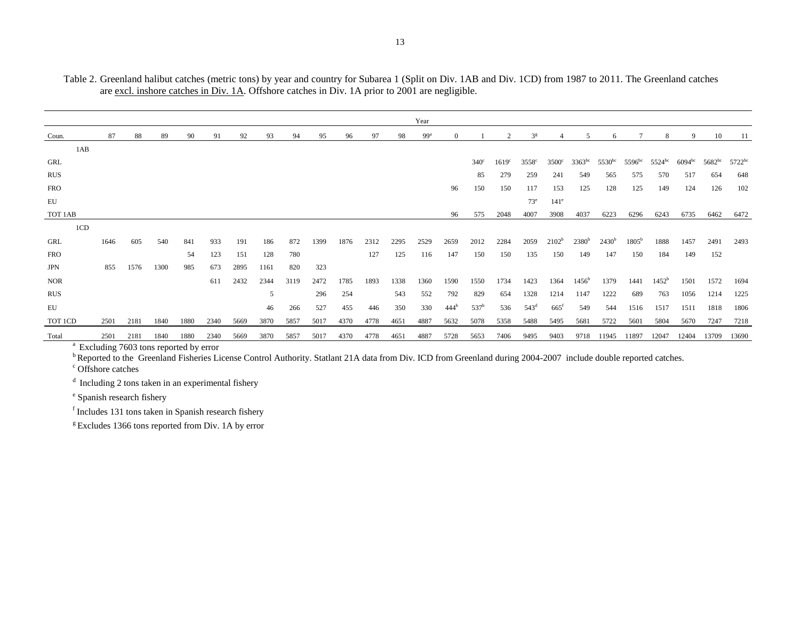|            |      |      |      |      |      |      |      |      |      |      |      |      | Year            |                  |                  |                   |                  |                    |                   |                                |                |                |             |                                |             |
|------------|------|------|------|------|------|------|------|------|------|------|------|------|-----------------|------------------|------------------|-------------------|------------------|--------------------|-------------------|--------------------------------|----------------|----------------|-------------|--------------------------------|-------------|
| Coun.      | 87   | 88   | 89   | 90   | 91   | 92   | 93   | 94   | 95   | 96   | 97   | 98   | 99 <sup>a</sup> |                  |                  |                   | 3 <sup>g</sup>   |                    |                   |                                |                | 8              | $\mathbf Q$ | 10                             | 11          |
| 1AB        |      |      |      |      |      |      |      |      |      |      |      |      |                 |                  |                  |                   |                  |                    |                   |                                |                |                |             |                                |             |
| GRL        |      |      |      |      |      |      |      |      |      |      |      |      |                 |                  | $340^\circ$      | 1619 <sup>c</sup> | $3558^\circ$     | $3500^\circ$       |                   | $3363^{bc}$ 5530 <sup>bc</sup> | $5596^{bc}$    | $5524^{bc}$    |             | $6094^{bc}$ 5682 <sup>bc</sup> | $5722^{bc}$ |
| <b>RUS</b> |      |      |      |      |      |      |      |      |      |      |      |      |                 |                  | 85               | 279               | 259              | 241                | 549               | 565                            | 575            | 570            | 517         | 654                            | 648         |
| <b>FRO</b> |      |      |      |      |      |      |      |      |      |      |      |      |                 | 96               | 150              | 150               | 117              | 153                | 125               | 128                            | 125            | 149            | 124         | 126                            | 102         |
| EU         |      |      |      |      |      |      |      |      |      |      |      |      |                 |                  |                  |                   | $73^e$           | $141^\circ$        |                   |                                |                |                |             |                                |             |
| TOT 1AB    |      |      |      |      |      |      |      |      |      |      |      |      |                 | 96               | 575              | 2048              | 4007             | 3908               | 4037              | 6223                           | 6296           | 6243           | 6735        | 6462                           | 6472        |
| 1CD        |      |      |      |      |      |      |      |      |      |      |      |      |                 |                  |                  |                   |                  |                    |                   |                                |                |                |             |                                |             |
| GRL        | 1646 | 605  | 540  | 841  | 933  | 191  | 186  | 872  | 1399 | 1876 | 2312 | 2295 | 2529            | 2659             | 2012             | 2284              | 2059             | $2102^b$           | 2380 <sup>b</sup> | $2430^b$                       | $1805^{\rm b}$ | 1888           | 1457        | 2491                           | 2493        |
| <b>FRO</b> |      |      |      | 54   | 123  | 151  | 128  | 780  |      |      | 127  | 125  | 116             | 147              | 150              | 150               | 135              | 150                | 149               | 147                            | 150            | 184            | 149         | 152                            |             |
| JPN        | 855  | 1576 | 1300 | 985  | 673  | 2895 | 1161 | 820  | 323  |      |      |      |                 |                  |                  |                   |                  |                    |                   |                                |                |                |             |                                |             |
| <b>NOR</b> |      |      |      |      | 611  | 2432 | 2344 | 3119 | 2472 | 1785 | 1893 | 1338 | 1360            | 1590             | 1550             | 1734              | 1423             | 1364               | $1456^{\rm b}$    | 1379                           | 1441           | $1452^{\rm b}$ | 1501        | 1572                           | 1694        |
| <b>RUS</b> |      |      |      |      |      |      | 5    |      | 296  | 254  |      | 543  | 552             | 792              | 829              | 654               | 1328             | 1214               | 1147              | 1222                           | 689            | 763            | 1056        | 1214                           | 1225        |
| EU         |      |      |      |      |      |      | 46   | 266  | 527  | 455  | 446  | 350  | 330             | 444 <sup>b</sup> | 537 <sup>b</sup> | 536               | 543 <sup>d</sup> | $665$ <sup>f</sup> | 549               | 544                            | 1516           | 1517           | 1511        | 1818                           | 1806        |
| TOT 1CD    | 2501 | 2181 | 1840 | 1880 | 2340 | 5669 | 3870 | 5857 | 5017 | 4370 | 4778 | 4651 | 4887            | 5632             | 5078             | 5358              | 5488             | 5495               | 5681              | 5722                           | 5601           | 5804           | 5670        | 7247                           | 7218        |
| Total      | 2501 | 2181 | 1840 | 1880 | 2340 | 5669 | 3870 | 5857 | 5017 | 4370 | 4778 | 4651 | 4887            | 5728             | 5653             | 7406              | 9495             | 9403               | 9718              | 11945                          | 11897          | 12047          | 12404       | 13709                          | 13690       |

Table 2. Greenland halibut catches (metric tons) by year and country for Subarea 1 (Split on Div. 1AB and Div. 1CD) from 1987 to 2011. The Greenland catches are excl. inshore catches in Div. 1A. Offshore catches in Div. 1A prior to 2001 are negligible.

<sup>a</sup> Excluding 7603 tons reported by error

<sup>b</sup>Reported to the Greenland Fisheries License Control Authority. Statlant 21A data from Div. ICD from Greenland during 2004-2007 include double reported catches.

<sup>c</sup> Offshore catches

<sup>d</sup> Including 2 tons taken in an experimental fishery

<sup>e</sup> Spanish research fishery

f Includes 131 tons taken in Spanish research fishery

 $g$  Excludes 1366 tons reported from Div. 1A by error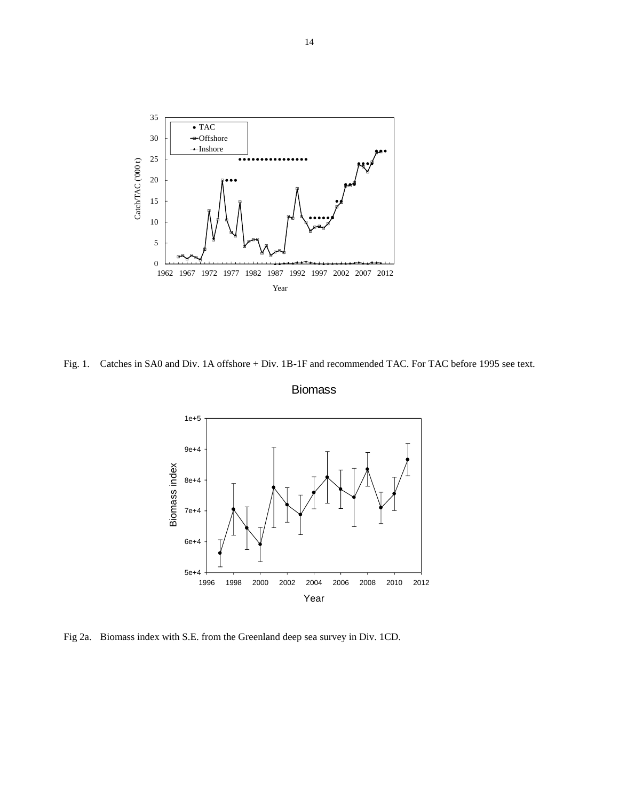

Fig. 1. Catches in SA0 and Div. 1A offshore + Div. 1B-1F and recommended TAC. For TAC before 1995 see text.



Biomass

Fig 2a. Biomass index with S.E. from the Greenland deep sea survey in Div. 1CD.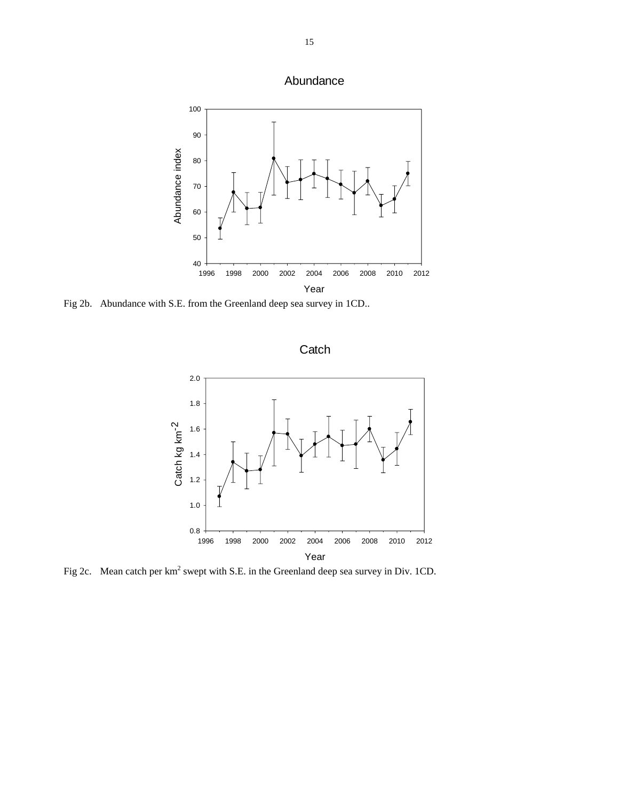



Fig 2b. Abundance with S.E. from the Greenland deep sea survey in 1CD..

**Catch** 



Fig 2c. Mean catch per  $km^2$  swept with S.E. in the Greenland deep sea survey in Div. 1CD.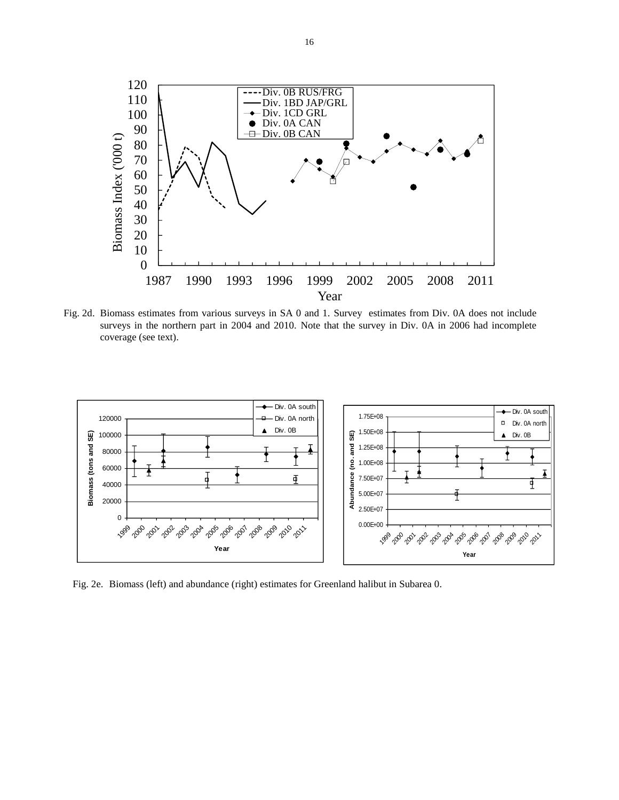

Fig. 2d. Biomass estimates from various surveys in SA 0 and 1. Survey estimates from Div. 0A does not include surveys in the northern part in 2004 and 2010. Note that the survey in Div. 0A in 2006 had incomplete coverage (see text).



Fig. 2e. Biomass (left) and abundance (right) estimates for Greenland halibut in Subarea 0.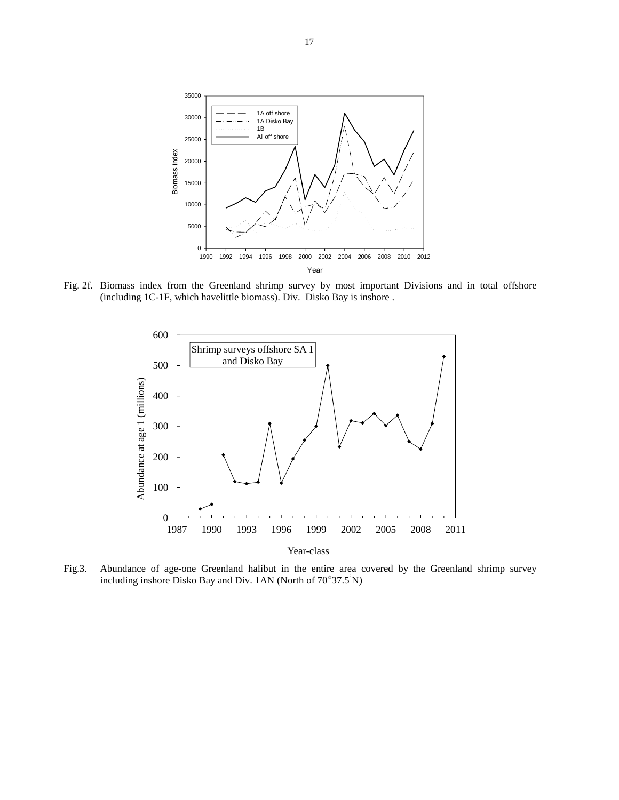

Fig. 2f. Biomass index from the Greenland shrimp survey by most important Divisions and in total offshore (including 1C-1F, which havelittle biomass). Div. Disko Bay is inshore .



Year-class

Fig.3. Abundance of age-one Greenland halibut in the entire area covered by the Greenland shrimp survey including inshore Disko Bay and Div. 1AN (North of  $70^{\circ}37.5^{\prime}N$ )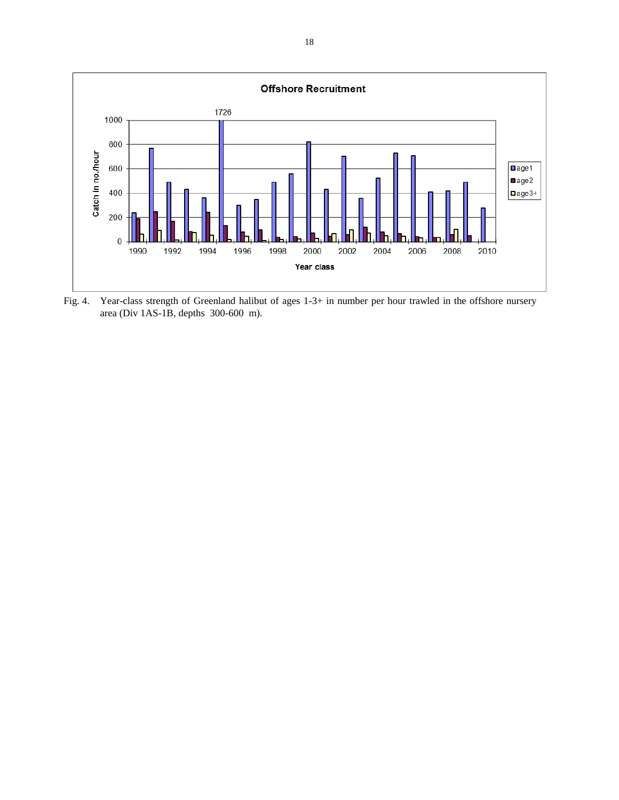

Fig. 4. Year-class strength of Greenland halibut of ages 1-3+ in number per hour trawled in the offshore nursery area (Div 1AS-1B, depths 300-600 m).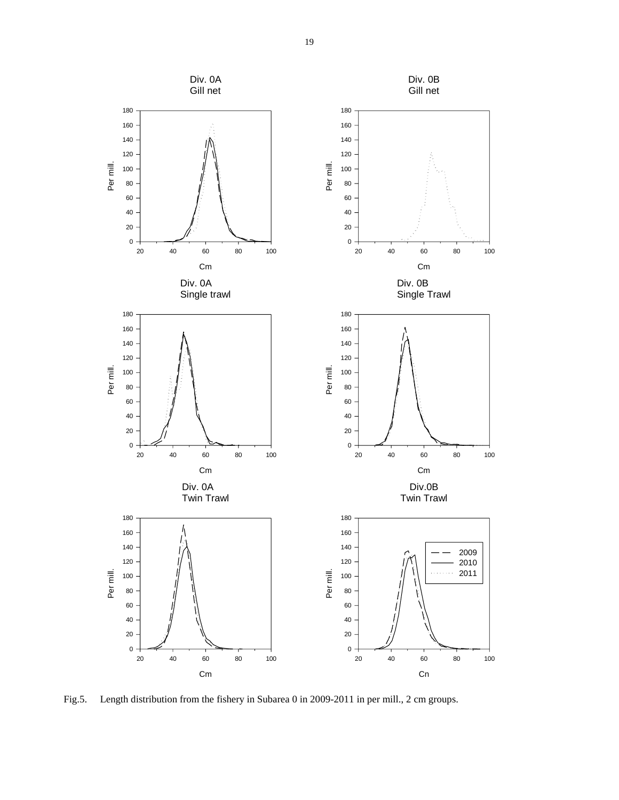

Fig.5. Length distribution from the fishery in Subarea 0 in 2009-2011 in per mill., 2 cm groups.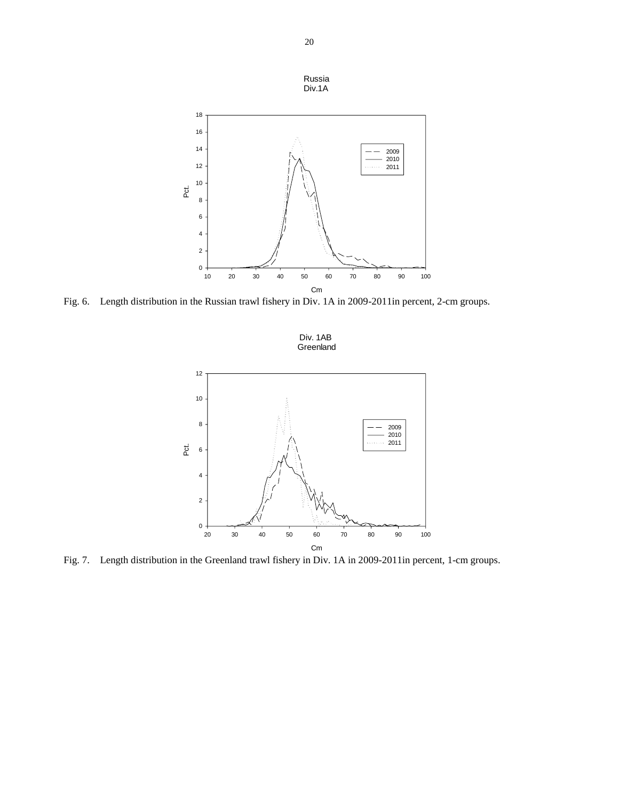

Fig. 6. Length distribution in the Russian trawl fishery in Div. 1A in 2009-2011in percent, 2-cm groups.



Fig. 7. Length distribution in the Greenland trawl fishery in Div. 1A in 2009-2011in percent, 1-cm groups.

Russia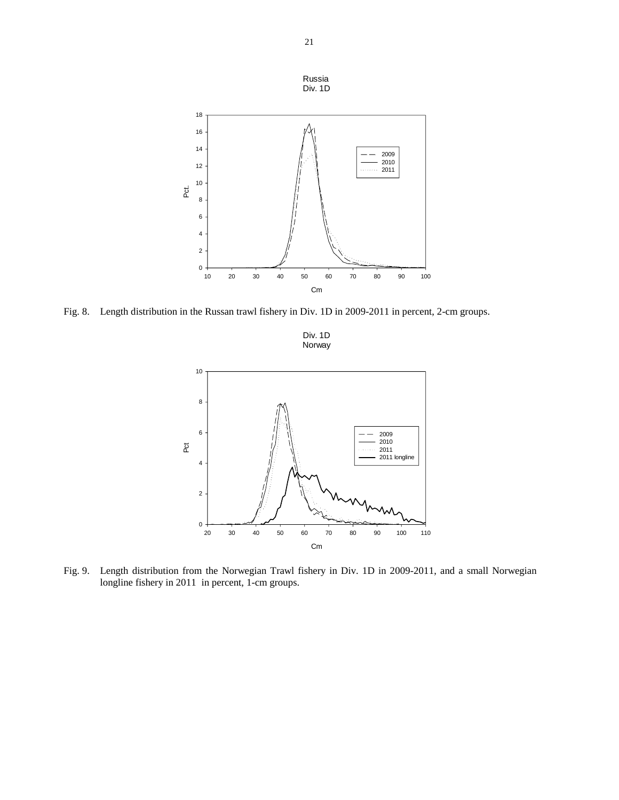

Fig. 8. Length distribution in the Russan trawl fishery in Div. 1D in 2009-2011 in percent, 2-cm groups.





Fig. 9. Length distribution from the Norwegian Trawl fishery in Div. 1D in 2009-2011, and a small Norwegian longline fishery in 2011 in percent, 1-cm groups.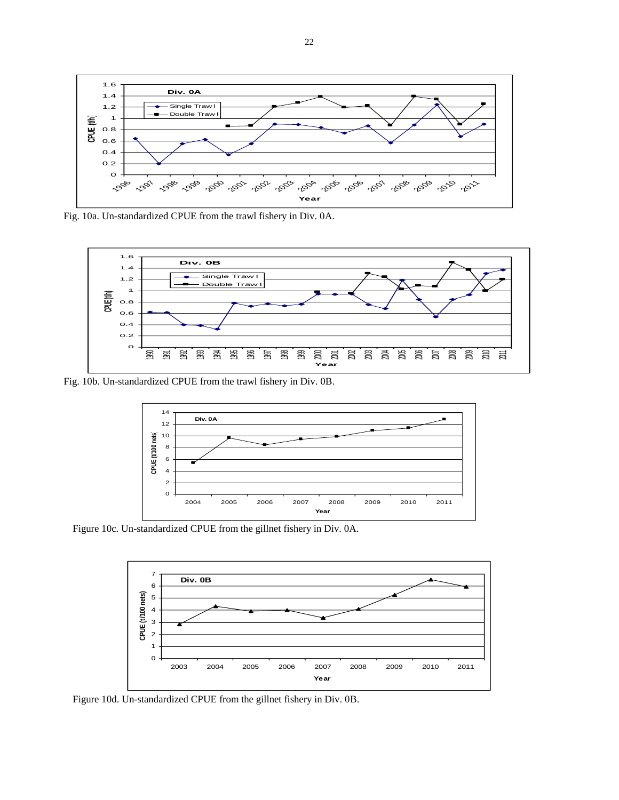

Fig. 10a. Un-standardized CPUE from the trawl fishery in Div. 0A.



Fig. 10b. Un-standardized CPUE from the trawl fishery in Div. 0B.



Figure 10c. Un-standardized CPUE from the gillnet fishery in Div. 0A.



Figure 10d. Un-standardized CPUE from the gillnet fishery in Div. 0B.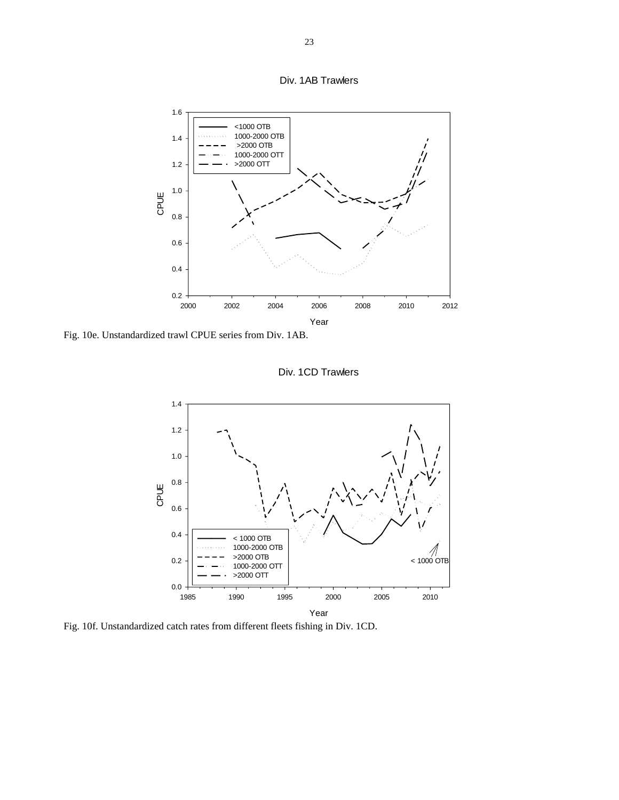



Fig. 10e. Unstandardized trawl CPUE series from Div. 1AB.



Div. 1CD Trawlers

Fig. 10f. Unstandardized catch rates from different fleets fishing in Div. 1CD.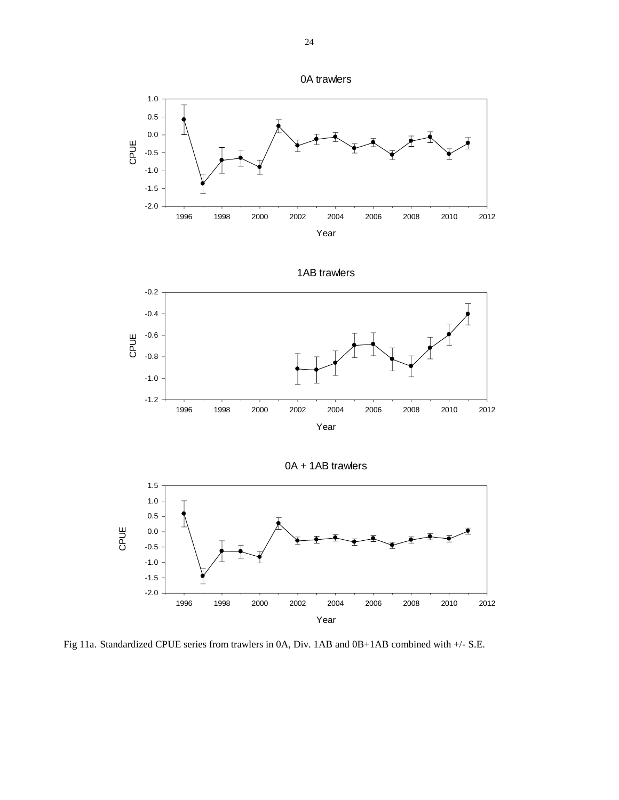



1AB trawlers



0A + 1AB trawlers Year 1996 1998 2000 2002 2004 2006 2008 2010 2012 CPUE -2.0 -1.5 -1.0 -0.5 0.0 0.5 1.0 1.5

Fig 11a. Standardized CPUE series from trawlers in 0A, Div. 1AB and 0B+1AB combined with +/- S.E.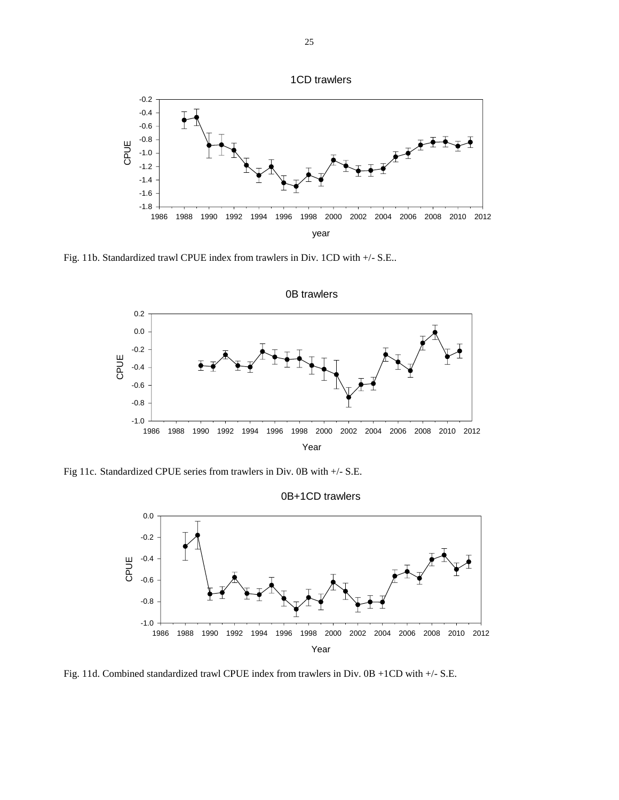



Fig. 11b. Standardized trawl CPUE index from trawlers in Div. 1CD with +/- S.E..



Fig 11c. Standardized CPUE series from trawlers in Div. 0B with +/- S.E.



Fig. 11d. Combined standardized trawl CPUE index from trawlers in Div. 0B +1CD with +/- S.E.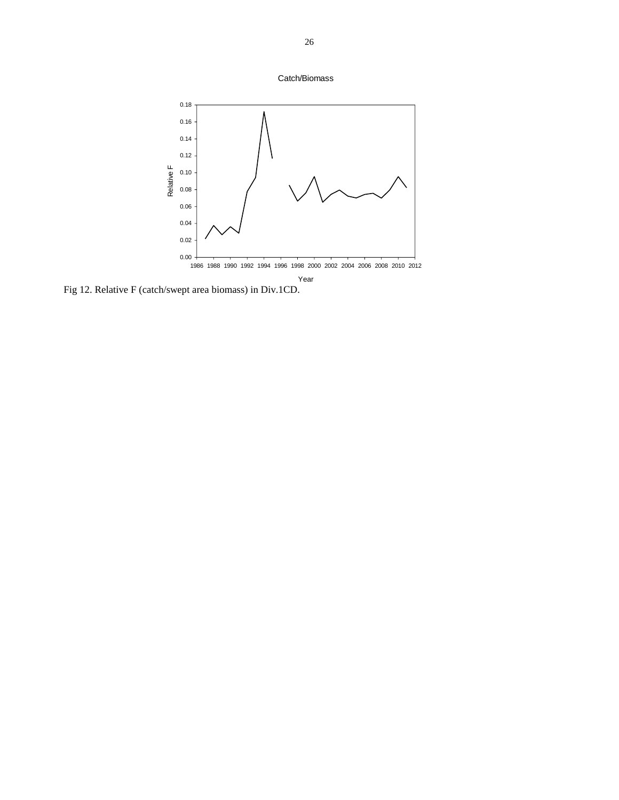



Fig 12. Relative F (catch/swept area biomass) in Div.1CD.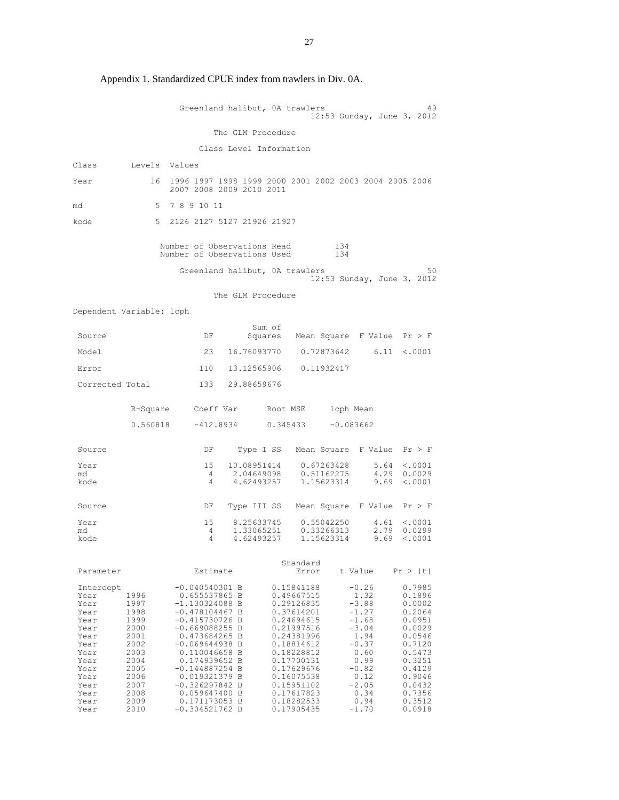|                                                                                                                                   |                                                                                                                      | Greenland halibut, OA trawlers                                                                                                                                                                                                                                                                          |                                         |                   |                                                                                                                                                                                                                              |                                        |                                                                                                                                                         | 49<br>12:53 Sunday, June 3, 2012                                                                                                                             |
|-----------------------------------------------------------------------------------------------------------------------------------|----------------------------------------------------------------------------------------------------------------------|---------------------------------------------------------------------------------------------------------------------------------------------------------------------------------------------------------------------------------------------------------------------------------------------------------|-----------------------------------------|-------------------|------------------------------------------------------------------------------------------------------------------------------------------------------------------------------------------------------------------------------|----------------------------------------|---------------------------------------------------------------------------------------------------------------------------------------------------------|--------------------------------------------------------------------------------------------------------------------------------------------------------------|
|                                                                                                                                   |                                                                                                                      |                                                                                                                                                                                                                                                                                                         | The GLM Procedure                       |                   |                                                                                                                                                                                                                              |                                        |                                                                                                                                                         |                                                                                                                                                              |
|                                                                                                                                   |                                                                                                                      |                                                                                                                                                                                                                                                                                                         | Class Level Information                 |                   |                                                                                                                                                                                                                              |                                        |                                                                                                                                                         |                                                                                                                                                              |
| Class                                                                                                                             | Levels Values                                                                                                        |                                                                                                                                                                                                                                                                                                         |                                         |                   |                                                                                                                                                                                                                              |                                        |                                                                                                                                                         |                                                                                                                                                              |
| Year                                                                                                                              | 16                                                                                                                   | 1996 1997 1998 1999 2000 2001 2002 2003 2004 2005 2006<br>2007 2008 2009 2010 2011                                                                                                                                                                                                                      |                                         |                   |                                                                                                                                                                                                                              |                                        |                                                                                                                                                         |                                                                                                                                                              |
| md                                                                                                                                | 5                                                                                                                    | 7891011                                                                                                                                                                                                                                                                                                 |                                         |                   |                                                                                                                                                                                                                              |                                        |                                                                                                                                                         |                                                                                                                                                              |
| kode                                                                                                                              | 5                                                                                                                    | 2126 2127 5127 21926 21927                                                                                                                                                                                                                                                                              |                                         |                   |                                                                                                                                                                                                                              |                                        |                                                                                                                                                         |                                                                                                                                                              |
|                                                                                                                                   |                                                                                                                      | Number of Observations Read<br>Number of Observations Used                                                                                                                                                                                                                                              |                                         |                   |                                                                                                                                                                                                                              | 134<br>134                             |                                                                                                                                                         |                                                                                                                                                              |
|                                                                                                                                   |                                                                                                                      | Greenland halibut, OA trawlers                                                                                                                                                                                                                                                                          |                                         |                   |                                                                                                                                                                                                                              |                                        |                                                                                                                                                         | 50<br>12:53 Sunday, June 3, 2012                                                                                                                             |
|                                                                                                                                   |                                                                                                                      |                                                                                                                                                                                                                                                                                                         | The GLM Procedure                       |                   |                                                                                                                                                                                                                              |                                        |                                                                                                                                                         |                                                                                                                                                              |
| Dependent Variable: lcph                                                                                                          |                                                                                                                      |                                                                                                                                                                                                                                                                                                         |                                         |                   |                                                                                                                                                                                                                              |                                        |                                                                                                                                                         |                                                                                                                                                              |
| Source                                                                                                                            |                                                                                                                      | DF                                                                                                                                                                                                                                                                                                      |                                         | Sum of<br>Squares |                                                                                                                                                                                                                              |                                        | Mean Square F Value $Pr > F$                                                                                                                            |                                                                                                                                                              |
| Model                                                                                                                             |                                                                                                                      | 23                                                                                                                                                                                                                                                                                                      | 16.76093770                             |                   |                                                                                                                                                                                                                              | 0.72873642                             |                                                                                                                                                         | $6.11 \div .0001$                                                                                                                                            |
| Error                                                                                                                             |                                                                                                                      | 110                                                                                                                                                                                                                                                                                                     | 13.12565906                             |                   | 0.11932417                                                                                                                                                                                                                   |                                        |                                                                                                                                                         |                                                                                                                                                              |
| Corrected Total                                                                                                                   |                                                                                                                      | 133                                                                                                                                                                                                                                                                                                     | 29.88659676                             |                   |                                                                                                                                                                                                                              |                                        |                                                                                                                                                         |                                                                                                                                                              |
|                                                                                                                                   | R-Square                                                                                                             |                                                                                                                                                                                                                                                                                                         | Coeff Var     Root MSE                  |                   |                                                                                                                                                                                                                              | lcph Mean                              |                                                                                                                                                         |                                                                                                                                                              |
|                                                                                                                                   | 0.560818                                                                                                             |                                                                                                                                                                                                                                                                                                         | $-412.8934$ 0.345433                    |                   |                                                                                                                                                                                                                              | $-0.083662$                            |                                                                                                                                                         |                                                                                                                                                              |
| Source                                                                                                                            |                                                                                                                      | DF                                                                                                                                                                                                                                                                                                      |                                         |                   |                                                                                                                                                                                                                              |                                        | Type I SS Mean Square F Value Pr > F                                                                                                                    |                                                                                                                                                              |
| Year<br>md<br>kode                                                                                                                |                                                                                                                      | 15<br>4<br>4                                                                                                                                                                                                                                                                                            | 10.08951414<br>2.04649098<br>4.62493257 |                   |                                                                                                                                                                                                                              | 0.67263428<br>0.51162275<br>1.15623314 | 9.69                                                                                                                                                    | 5.64 < .0001<br>4.29 0.0029<br>< .0001                                                                                                                       |
| Source                                                                                                                            |                                                                                                                      | DF                                                                                                                                                                                                                                                                                                      | Type III SS                             |                   |                                                                                                                                                                                                                              |                                        | Mean Square F Value $Pr > F$                                                                                                                            |                                                                                                                                                              |
| Year<br>md<br>kode                                                                                                                |                                                                                                                      | 15<br>4<br>4                                                                                                                                                                                                                                                                                            | 8.25633745<br>1.33065251<br>4.62493257  |                   |                                                                                                                                                                                                                              | 0.55042250<br>0.33266313<br>1.15623314 | 4.61<br>2.79<br>9.69                                                                                                                                    | $\langle .0001$<br>0.0299<br>< .0001                                                                                                                         |
| Parameter                                                                                                                         |                                                                                                                      | Estimate                                                                                                                                                                                                                                                                                                |                                         |                   | Standard<br>Error                                                                                                                                                                                                            |                                        | t Value                                                                                                                                                 | Pr >  t                                                                                                                                                      |
| Intercept<br>Year<br>Year<br>Year<br>Year<br>Year<br>Year<br>Year<br>Year<br>Year<br>Year<br>Year<br>Year<br>Year<br>Year<br>Year | 1996<br>1997<br>1998<br>1999<br>2000<br>2001<br>2002<br>2003<br>2004<br>2005<br>2006<br>2007<br>2008<br>2009<br>2010 | $-0.040540301$ B<br>0.655537865 B<br>$-1.130324088$ B<br>$-0.478104467 B$<br>$-0.415730726$ B<br>$-0.669088255 B$<br>0.473684265 B<br>$-0.069644938 B$<br>0.110046658 B<br>0.174939652 B<br>$-0.144887254 B$<br>0.019321379 B<br>$-0.326297842 B$<br>0.059647400 B<br>0.171173053 B<br>$-0.304521762 B$ |                                         |                   | 0.15841188<br>0.49667515<br>0.29126835<br>0.37614201<br>0.24694615<br>0.21997516<br>0.24381996<br>0.18814612<br>0.18228812<br>0.17700131<br>0.17629676<br>0.16075538<br>0.15951102<br>0.17617823<br>0.18282533<br>0.17905435 |                                        | $-0.26$<br>1.32<br>$-3.88$<br>$-1.27$<br>$-1.68$<br>$-3.04$<br>1.94<br>$-0.37$<br>0.60<br>0.99<br>$-0.82$<br>0.12<br>$-2.05$<br>0.34<br>0.94<br>$-1.70$ | 0.7985<br>0.1896<br>0.0002<br>0.2064<br>0.0951<br>0.0029<br>0.0546<br>0.7120<br>0.5473<br>0.3251<br>0.4129<br>0.9046<br>0.0432<br>0.7356<br>0.3512<br>0.0918 |

Appendix 1. Standardized CPUE index from trawlers in Div. 0A.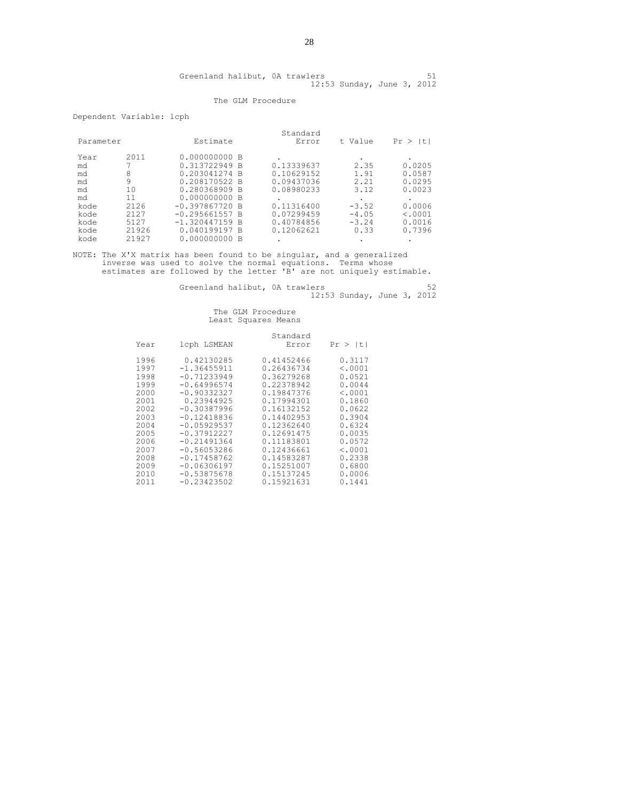| Greenland halibut, OA trawlers |  |                            |  |  |
|--------------------------------|--|----------------------------|--|--|
|                                |  | 12:53 Sunday, June 3, 2012 |  |  |

### The GLM Procedure

Dependent Variable: lcph

|           |       |                  | Standard   |         |              |
|-----------|-------|------------------|------------|---------|--------------|
| Parameter |       | Estimate         | Error      | t Value | Pr ><br>It I |
| Year      | 2011  | 0.000000000 B    |            |         |              |
| md        |       | 0.313722949 B    | 0.13339637 | 2.35    | 0.0205       |
| md        | 8     | 0.203041274 B    | 0.10629152 | 1.91    | 0.0587       |
| md        | 9     | 0.208170522 B    | 0.09437036 | 2.21    | 0.0295       |
| md        | 10    | 0.280368909 B    | 0.08980233 | 3.12    | 0.0023       |
| md        | 11    | 0.000000000 B    |            |         |              |
| kode      | 2126  | $-0.397867720 B$ | 0.11316400 | $-3.52$ | 0.0006       |
| kode      | 2127  | $-0.295661557 B$ | 0.07299459 | $-4.05$ | < .0001      |
| kode      | 5127  | $-1.320447159$ B | 0.40784856 | $-3.24$ | 0.0016       |
| kode      | 21926 | 0.040199197 B    | 0.12062621 | 0.33    | 0.7396       |
| kode      | 21927 | 0.000000000 B    |            |         |              |

NOTE: The X'X matrix has been found to be singular, and a generalized inverse was used to solve the normal equations. Terms whose estimates are followed by the letter 'B' are not uniquely estimable.

Greenland halibut, 0A trawlers 62 12:53 Sunday, June 3, 2012

| Year | lcph LSMEAN   | Standard<br>Error | Pr >  t |
|------|---------------|-------------------|---------|
| 1996 | 0.42130285    | 0.41452466        | 0.3117  |
| 1997 | $-1.36455911$ | 0.26436734        | < .0001 |
| 1998 | $-0.71233949$ | 0.36279268        | 0.0521  |
| 1999 | $-0.64996574$ | 0.22378942        | 0.0044  |
| 2000 | $-0.90332327$ | 0.19847376        | < .0001 |
| 2001 | 0.23944925    | 0.17994301        | 0.1860  |
| 2002 | $-0.30387996$ | 0.16132152        | 0.0622  |
| 2003 | $-0.12418836$ | 0.14402953        | 0.3904  |
| 2004 | $-0.05929537$ | 0.12362640        | 0.6324  |
| 2005 | $-0.37912227$ | 0.12691475        | 0.0035  |
| 2006 | $-0.21491364$ | 0.11183801        | 0.0572  |
| 2007 | $-0.56053286$ | 0.12436661        | < .0001 |
| 2008 | $-0.17458762$ | 0.14583287        | 0.2338  |
| 2009 | $-0.06306197$ | 0.15251007        | 0.6800  |
| 2010 | $-0.53875678$ | 0.15137245        | 0.0006  |
| 2011 | $-0.23423502$ | 0.15921631        | 0.1441  |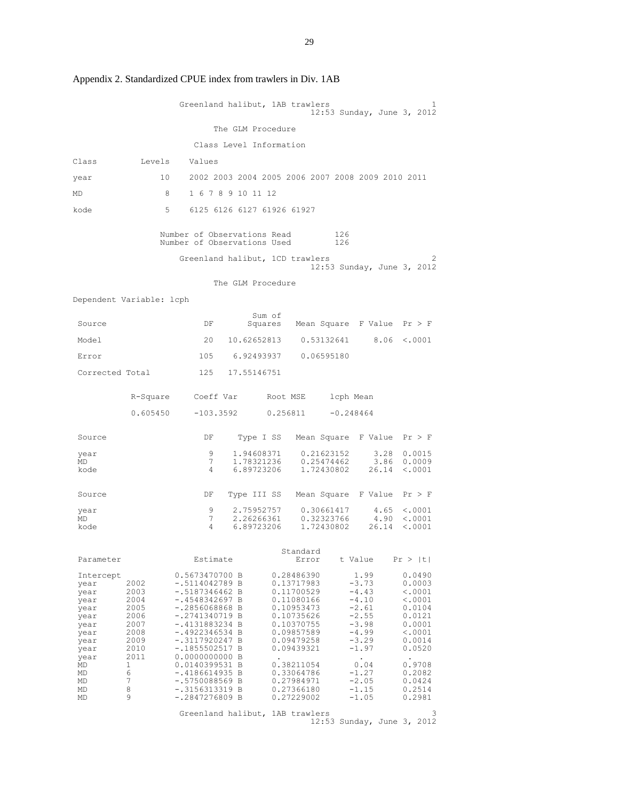|                                                                                                                         |                                                                                                       | Greenland halibut, 1AB trawlers                                                                                                                                                                                                                                                                                   |                          |                                                                                                                                                                                                                |                          | 12:53 Sunday, June 3, 2012                                                                                                                                               | 1                                                                                                                                                     |
|-------------------------------------------------------------------------------------------------------------------------|-------------------------------------------------------------------------------------------------------|-------------------------------------------------------------------------------------------------------------------------------------------------------------------------------------------------------------------------------------------------------------------------------------------------------------------|--------------------------|----------------------------------------------------------------------------------------------------------------------------------------------------------------------------------------------------------------|--------------------------|--------------------------------------------------------------------------------------------------------------------------------------------------------------------------|-------------------------------------------------------------------------------------------------------------------------------------------------------|
|                                                                                                                         |                                                                                                       |                                                                                                                                                                                                                                                                                                                   | The GLM Procedure        |                                                                                                                                                                                                                |                          |                                                                                                                                                                          |                                                                                                                                                       |
|                                                                                                                         |                                                                                                       | Class Level Information                                                                                                                                                                                                                                                                                           |                          |                                                                                                                                                                                                                |                          |                                                                                                                                                                          |                                                                                                                                                       |
| Class                                                                                                                   | Levels                                                                                                | Values                                                                                                                                                                                                                                                                                                            |                          |                                                                                                                                                                                                                |                          |                                                                                                                                                                          |                                                                                                                                                       |
| year                                                                                                                    | 10                                                                                                    | 2002 2003 2004 2005 2006 2007 2008 2009 2010 2011                                                                                                                                                                                                                                                                 |                          |                                                                                                                                                                                                                |                          |                                                                                                                                                                          |                                                                                                                                                       |
| MD                                                                                                                      | -8                                                                                                    | 1 6 7 8 9 10 11 12                                                                                                                                                                                                                                                                                                |                          |                                                                                                                                                                                                                |                          |                                                                                                                                                                          |                                                                                                                                                       |
| kode                                                                                                                    | -5                                                                                                    | 6125 6126 6127 61926 61927                                                                                                                                                                                                                                                                                        |                          |                                                                                                                                                                                                                |                          |                                                                                                                                                                          |                                                                                                                                                       |
|                                                                                                                         |                                                                                                       | Number of Observations Read<br>Number of Observations Used                                                                                                                                                                                                                                                        |                          |                                                                                                                                                                                                                | 126<br>126               |                                                                                                                                                                          |                                                                                                                                                       |
|                                                                                                                         |                                                                                                       | Greenland halibut, 1CD trawlers                                                                                                                                                                                                                                                                                   |                          |                                                                                                                                                                                                                |                          | 12:53 Sunday, June 3, 2012                                                                                                                                               | 2.                                                                                                                                                    |
|                                                                                                                         |                                                                                                       |                                                                                                                                                                                                                                                                                                                   | The GLM Procedure        |                                                                                                                                                                                                                |                          |                                                                                                                                                                          |                                                                                                                                                       |
| Dependent Variable: lcph                                                                                                |                                                                                                       |                                                                                                                                                                                                                                                                                                                   |                          |                                                                                                                                                                                                                |                          |                                                                                                                                                                          |                                                                                                                                                       |
| Source                                                                                                                  |                                                                                                       | DF                                                                                                                                                                                                                                                                                                                | Sum of                   | Squares Mean Square F Value $Pr > F$                                                                                                                                                                           |                          |                                                                                                                                                                          |                                                                                                                                                       |
| Model                                                                                                                   |                                                                                                       | 20                                                                                                                                                                                                                                                                                                                | 10.62652813              |                                                                                                                                                                                                                | 0.53132641               | 8.06                                                                                                                                                                     | < .0001                                                                                                                                               |
| Error                                                                                                                   |                                                                                                       |                                                                                                                                                                                                                                                                                                                   |                          | 105 6.92493937 0.06595180                                                                                                                                                                                      |                          |                                                                                                                                                                          |                                                                                                                                                       |
| Corrected Total                                                                                                         |                                                                                                       | 125                                                                                                                                                                                                                                                                                                               | 17.55146751              |                                                                                                                                                                                                                |                          |                                                                                                                                                                          |                                                                                                                                                       |
|                                                                                                                         | R-Square                                                                                              | Coeff Var                                                                                                                                                                                                                                                                                                         |                          | Root MSE                                                                                                                                                                                                       | lcph Mean                |                                                                                                                                                                          |                                                                                                                                                       |
|                                                                                                                         | 0.605450                                                                                              | $-103.3592$                                                                                                                                                                                                                                                                                                       |                          | 0.256811                                                                                                                                                                                                       | $-0.248464$              |                                                                                                                                                                          |                                                                                                                                                       |
|                                                                                                                         |                                                                                                       |                                                                                                                                                                                                                                                                                                                   |                          |                                                                                                                                                                                                                |                          |                                                                                                                                                                          |                                                                                                                                                       |
| Source                                                                                                                  |                                                                                                       | DF                                                                                                                                                                                                                                                                                                                | Type I SS                |                                                                                                                                                                                                                |                          | Mean Square F Value                                                                                                                                                      | Pr > F                                                                                                                                                |
| year<br>MD                                                                                                              |                                                                                                       | 9<br>7                                                                                                                                                                                                                                                                                                            | 1.94608371<br>1.78321236 |                                                                                                                                                                                                                | 0.21623152<br>0.25474462 | 3.28<br>3.86                                                                                                                                                             | 0.0015<br>0.0009                                                                                                                                      |
| kode                                                                                                                    |                                                                                                       | 4                                                                                                                                                                                                                                                                                                                 | 6.89723206               |                                                                                                                                                                                                                | 1,72430802               | 26.14                                                                                                                                                                    | < .0001                                                                                                                                               |
| Source                                                                                                                  |                                                                                                       | DF                                                                                                                                                                                                                                                                                                                |                          | Type III SS Mean Square F Value                                                                                                                                                                                |                          |                                                                                                                                                                          | Pr > F                                                                                                                                                |
| year<br>MD                                                                                                              |                                                                                                       | 9<br>7                                                                                                                                                                                                                                                                                                            | 2.75952757<br>2.26266361 |                                                                                                                                                                                                                | 0.30661417<br>0.32323766 | 4.65<br>4.90                                                                                                                                                             | < .0001<br>< .0001                                                                                                                                    |
| kode                                                                                                                    |                                                                                                       | 4                                                                                                                                                                                                                                                                                                                 | 6.89723206               |                                                                                                                                                                                                                | 1,72430802               | 26.14                                                                                                                                                                    | < .0001                                                                                                                                               |
| Parameter                                                                                                               |                                                                                                       | Estimate                                                                                                                                                                                                                                                                                                          |                          | Standard<br>Error                                                                                                                                                                                              | t Value                  |                                                                                                                                                                          | Pr >  t                                                                                                                                               |
| Intercept<br>year<br>year<br>year<br>year<br>year<br>year<br>year<br>year<br>year<br>year<br>MD<br>MD<br>MD<br>MD<br>MD | 2002<br>2003<br>2004<br>2005<br>2006<br>2007<br>2008<br>2009<br>2010<br>2011<br>1<br>6<br>7<br>8<br>9 | 0.5673470700 B<br>$-.5114042789$ B<br>-.5187346462 B<br>$-.4548342697 B$<br>$-.2856068868 B$<br>$-.2741340719$ B<br>$-.4131883234 B$<br>$-.4922346534 B$<br>$-.3117920247B$<br>$-.1855502517 B$<br>0.0000000000 B<br>0.0140399531 B<br>$-.4186614935 B$<br>$-.5750088569$ B<br>-.3156313319 B<br>$-.2847276809 B$ |                          | 0.28486390<br>0.13717983<br>0.11700529<br>0.11080166<br>0.10953473<br>0.10735626<br>0.10370755<br>0.09857589<br>0.09479258<br>0.09439321<br>0.38211054<br>0.33064786<br>0.27984971<br>0.27366180<br>0.27229002 |                          | 1.99<br>$-3.73$<br>$-4.43$<br>$-4.10$<br>$-2.61$<br>$-2.55$<br>$-3.98$<br>$-4.99$<br>$-3.29$<br>$-1.97$<br>$\bullet$<br>0.04<br>$-1.27$<br>$-2.05$<br>$-1.15$<br>$-1.05$ | 0.0490<br>0.0003<br>< .0001<br>< .0001<br>0.0104<br>0.0121<br>0.0001<br>< .0001<br>0.0014<br>0.0520<br>0.9708<br>0.2082<br>0.0424<br>0.2514<br>0.2981 |
|                                                                                                                         |                                                                                                       | Greenland halibut, 1AB trawlers                                                                                                                                                                                                                                                                                   |                          |                                                                                                                                                                                                                |                          | 12:53 Sunday, June 3, 2012                                                                                                                                               | 3                                                                                                                                                     |

Appendix 2. Standardized CPUE index from trawlers in Div. 1AB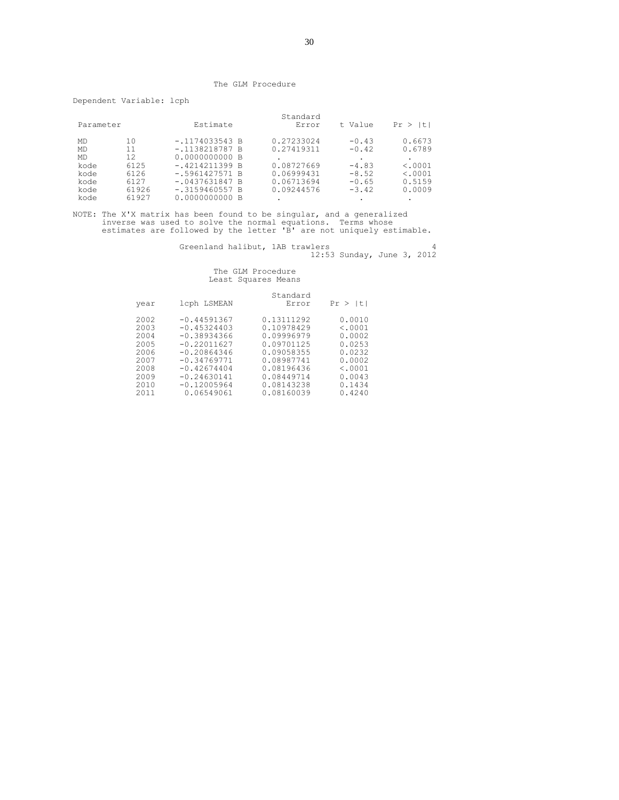#### The GLM Procedure

Dependent Variable: lcph

| Parameter |       | Estimate         | Standard<br>Error | t Value | It.<br>Pr > |
|-----------|-------|------------------|-------------------|---------|-------------|
| MD        | 10.   | $-.1174033543 B$ | 0.27233024        | $-0.43$ | 0.6673      |
| <b>MD</b> | 11    | $-.1138218787 B$ | 0.27419311        | $-0.42$ | 0.6789      |
| <b>MD</b> | 12    | 0.0000000000 B   |                   |         |             |
| kode      | 6125  | $-.4214211399B$  | 0.08727669        | $-4.83$ | < .0001     |
| kode      | 6126  | $-.5961427571 B$ | 0.06999431        | $-8.52$ | < .0001     |
| kode      | 6127  | $-.0437631847 B$ | 0.06713694        | $-0.65$ | 0.5159      |
| kode      | 61926 | $-.3159460557 B$ | 0.09244576        | $-3.42$ | 0.0009      |
| kode      | 61927 | 0.0000000000 B   | ٠                 | ٠       | ٠           |

NOTE: The X'X matrix has been found to be singular, and a generalized inverse was used to solve the normal equations. Terms whose estimates are followed by the letter 'B' are not uniquely estimable.

Greenland halibut, 1AB trawlers 4 12:53 Sunday, June 3, 2012

| 2002<br>0.13111292<br>$-0.44591367$<br>0.0010<br>0.10978429<br>2003<br>$-0.45324403$<br>< .0001<br>0.09996979<br>$-0.38934366$<br>2004<br>0.0002<br>2005<br>$-0.22011627$<br>0.09701125<br>0.0253<br>$-0.20864346$<br>0.09058355<br>0.0232<br>2006 | lt l |
|----------------------------------------------------------------------------------------------------------------------------------------------------------------------------------------------------------------------------------------------------|------|
| 2007<br>$-0.34769771$<br>0.08987741<br>0.0002<br>< .0001<br>2008<br>$-0.42674404$<br>0.08196436<br>2009<br>0.08449714<br>0.0043<br>$-0.24630141$<br>$-0.12005964$<br>0.08143238<br>2010<br>0.1434<br>0.4240<br>2011<br>0.06549061<br>0.08160039    |      |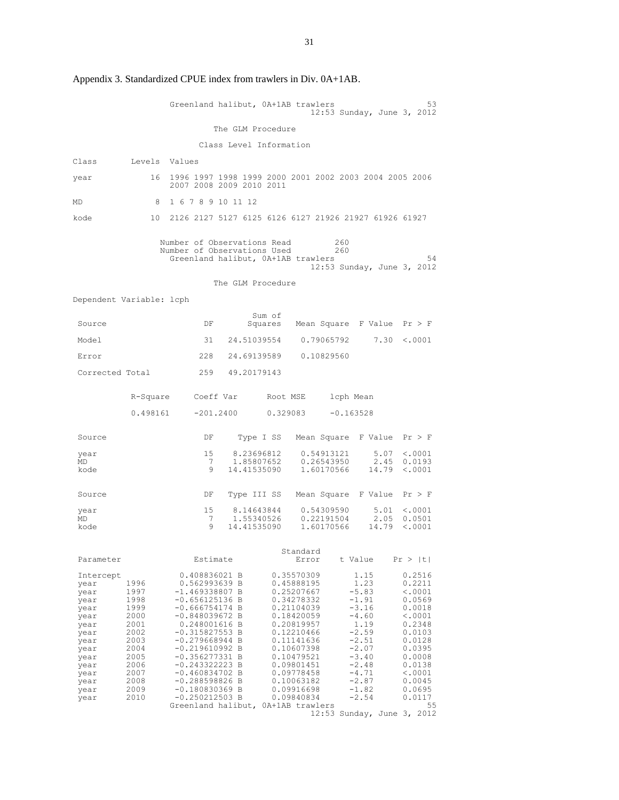|                                                                                                                                   |                                                                                                                      | Greenland halibut, OA+1AB trawlers                                                                                                                                                                                                                                                                                                                       |                         |                           |                                                                                                                                                                                                                              | 12:53 Sunday, June 3, 2012                                                                                                                                                                        |                       | 53                                                                                                                                                                                    |
|-----------------------------------------------------------------------------------------------------------------------------------|----------------------------------------------------------------------------------------------------------------------|----------------------------------------------------------------------------------------------------------------------------------------------------------------------------------------------------------------------------------------------------------------------------------------------------------------------------------------------------------|-------------------------|---------------------------|------------------------------------------------------------------------------------------------------------------------------------------------------------------------------------------------------------------------------|---------------------------------------------------------------------------------------------------------------------------------------------------------------------------------------------------|-----------------------|---------------------------------------------------------------------------------------------------------------------------------------------------------------------------------------|
|                                                                                                                                   |                                                                                                                      |                                                                                                                                                                                                                                                                                                                                                          | The GLM Procedure       |                           |                                                                                                                                                                                                                              |                                                                                                                                                                                                   |                       |                                                                                                                                                                                       |
|                                                                                                                                   |                                                                                                                      |                                                                                                                                                                                                                                                                                                                                                          | Class Level Information |                           |                                                                                                                                                                                                                              |                                                                                                                                                                                                   |                       |                                                                                                                                                                                       |
| Class                                                                                                                             | Levels Values                                                                                                        |                                                                                                                                                                                                                                                                                                                                                          |                         |                           |                                                                                                                                                                                                                              |                                                                                                                                                                                                   |                       |                                                                                                                                                                                       |
| year                                                                                                                              | 16                                                                                                                   | 1996 1997 1998 1999 2000 2001 2002 2003 2004 2005 2006<br>2007 2008 2009 2010 2011                                                                                                                                                                                                                                                                       |                         |                           |                                                                                                                                                                                                                              |                                                                                                                                                                                                   |                       |                                                                                                                                                                                       |
| MD                                                                                                                                | 8                                                                                                                    | 1 6 7 8 9 10 11 12                                                                                                                                                                                                                                                                                                                                       |                         |                           |                                                                                                                                                                                                                              |                                                                                                                                                                                                   |                       |                                                                                                                                                                                       |
| kode                                                                                                                              | 10                                                                                                                   | 2126 2127 5127 6125 6126 6127 21926 21927 61926 61927                                                                                                                                                                                                                                                                                                    |                         |                           |                                                                                                                                                                                                                              |                                                                                                                                                                                                   |                       |                                                                                                                                                                                       |
|                                                                                                                                   |                                                                                                                      | Number of Observations Read<br>Number of Observations Used<br>Greenland halibut, OA+1AB trawlers                                                                                                                                                                                                                                                         |                         |                           |                                                                                                                                                                                                                              | 260<br>260<br>12:53 Sunday, June 3, 2012                                                                                                                                                          |                       | 54                                                                                                                                                                                    |
|                                                                                                                                   |                                                                                                                      |                                                                                                                                                                                                                                                                                                                                                          | The GLM Procedure       |                           |                                                                                                                                                                                                                              |                                                                                                                                                                                                   |                       |                                                                                                                                                                                       |
| Dependent Variable: lcph                                                                                                          |                                                                                                                      |                                                                                                                                                                                                                                                                                                                                                          |                         |                           |                                                                                                                                                                                                                              |                                                                                                                                                                                                   |                       |                                                                                                                                                                                       |
| Source                                                                                                                            |                                                                                                                      | DF                                                                                                                                                                                                                                                                                                                                                       |                         | Sum of                    | Squares Mean Square F Value $Pr > F$                                                                                                                                                                                         |                                                                                                                                                                                                   |                       |                                                                                                                                                                                       |
| Model                                                                                                                             |                                                                                                                      | 31                                                                                                                                                                                                                                                                                                                                                       |                         |                           | 24.51039554 0.79065792                                                                                                                                                                                                       |                                                                                                                                                                                                   |                       | $7.30 \le .0001$                                                                                                                                                                      |
| Error                                                                                                                             |                                                                                                                      | 228                                                                                                                                                                                                                                                                                                                                                      |                         |                           | 24.69139589 0.10829560                                                                                                                                                                                                       |                                                                                                                                                                                                   |                       |                                                                                                                                                                                       |
| Corrected Total                                                                                                                   |                                                                                                                      |                                                                                                                                                                                                                                                                                                                                                          | 259 49.20179143         |                           |                                                                                                                                                                                                                              |                                                                                                                                                                                                   |                       |                                                                                                                                                                                       |
|                                                                                                                                   |                                                                                                                      | R-Square Coeff Var Root MSE lcph Mean                                                                                                                                                                                                                                                                                                                    |                         |                           |                                                                                                                                                                                                                              |                                                                                                                                                                                                   |                       |                                                                                                                                                                                       |
|                                                                                                                                   |                                                                                                                      | $0.498161$ $-201.2400$ $0.329083$ $-0.163528$                                                                                                                                                                                                                                                                                                            |                         |                           |                                                                                                                                                                                                                              |                                                                                                                                                                                                   |                       |                                                                                                                                                                                       |
| Source                                                                                                                            |                                                                                                                      | DF                                                                                                                                                                                                                                                                                                                                                       |                         |                           | Type I SS Mean Square F Value $Pr > F$                                                                                                                                                                                       |                                                                                                                                                                                                   |                       |                                                                                                                                                                                       |
| year                                                                                                                              |                                                                                                                      | 15<br>7                                                                                                                                                                                                                                                                                                                                                  |                         | 8.23696812<br>1.85807652  | 0.54913121<br>0.26543950                                                                                                                                                                                                     |                                                                                                                                                                                                   | 5.07<br>2.45          | < .0001<br>0.0193                                                                                                                                                                     |
| MD<br>kode                                                                                                                        |                                                                                                                      | 9                                                                                                                                                                                                                                                                                                                                                        |                         |                           | 14.41535090 1.60170566                                                                                                                                                                                                       |                                                                                                                                                                                                   | 14.79                 | < .0001                                                                                                                                                                               |
| Source                                                                                                                            |                                                                                                                      | DF                                                                                                                                                                                                                                                                                                                                                       |                         |                           | Type III SS Mean Square F Value                                                                                                                                                                                              |                                                                                                                                                                                                   |                       | Pr > F                                                                                                                                                                                |
| year<br>MD<br>kode                                                                                                                |                                                                                                                      | 15<br>7<br>9                                                                                                                                                                                                                                                                                                                                             |                         | 8.14643844<br>14.41535090 | 0.54309590<br>1.55340526  0.22191504<br>1.60170566                                                                                                                                                                           |                                                                                                                                                                                                   | 5.01<br>2.05<br>14.79 | $\langle .0001$<br>0.0501<br>$\langle .0001$                                                                                                                                          |
|                                                                                                                                   |                                                                                                                      |                                                                                                                                                                                                                                                                                                                                                          |                         |                           |                                                                                                                                                                                                                              |                                                                                                                                                                                                   |                       |                                                                                                                                                                                       |
| Parameter                                                                                                                         |                                                                                                                      | Estimate                                                                                                                                                                                                                                                                                                                                                 |                         |                           | Standard<br>Error                                                                                                                                                                                                            | t Value                                                                                                                                                                                           |                       | Pr >  t                                                                                                                                                                               |
| Intercept<br>year<br>year<br>year<br>year<br>year<br>year<br>year<br>year<br>year<br>year<br>year<br>year<br>year<br>year<br>year | 1996<br>1997<br>1998<br>1999<br>2000<br>2001<br>2002<br>2003<br>2004<br>2005<br>2006<br>2007<br>2008<br>2009<br>2010 | 0.408836021 B<br>0.562993639 B<br>$-1.469338807 B$<br>$-0.656125136 B$<br>$-0.666754174 B$<br>$-0.848039672 B$<br>0.248001616 B<br>$-0.315827553 B$<br>$-0.279668944 B$<br>$-0.219610992 B$<br>$-0.356277331$ B<br>$-0.243322223B$<br>$-0.460834702 B$<br>$-0.288598826 B$<br>$-0.180830369$ B<br>$-0.250212503 B$<br>Greenland halibut, 0A+1AB trawlers |                         |                           | 0.35570309<br>0.45888195<br>0.25207667<br>0.34278332<br>0.21104039<br>0.18420059<br>0.20819957<br>0.12210466<br>0.11141636<br>0.10607398<br>0.10479521<br>0.09801451<br>0.09778458<br>0.10063182<br>0.09916698<br>0.09840834 | 1.15<br>1.23<br>$-5.83$<br>$-1.91$<br>$-3.16$<br>$-4.60$<br>1.19<br>$-2.59$<br>$-2.51$<br>$-2.07$<br>$-3.40$<br>$-2.48$<br>$-4.71$<br>$-2.87$<br>$-1.82$<br>$-2.54$<br>12:53 Sunday, June 3, 2012 |                       | 0.2516<br>0.2211<br>< .0001<br>0.0569<br>0.0018<br>$\langle .0001$<br>0.2348<br>0.0103<br>0.0128<br>0.0395<br>0.0008<br>0.0138<br>$\langle .0001$<br>0.0045<br>0.0695<br>0.0117<br>55 |
|                                                                                                                                   |                                                                                                                      |                                                                                                                                                                                                                                                                                                                                                          |                         |                           |                                                                                                                                                                                                                              |                                                                                                                                                                                                   |                       |                                                                                                                                                                                       |

Appendix 3. Standardized CPUE index from trawlers in Div. 0A+1AB.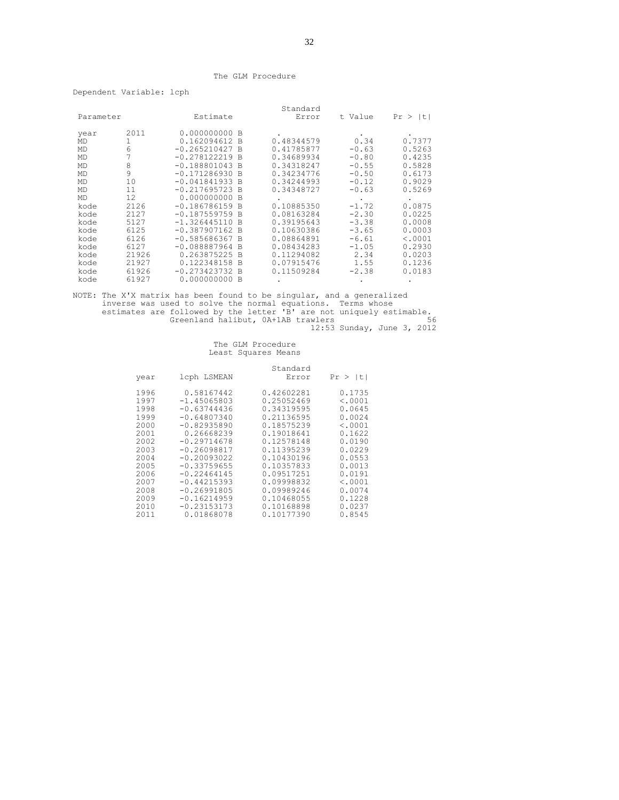#### The GLM Procedure

Dependent Variable: lcph

|           |       |                  |          | Standard   |         |         |
|-----------|-------|------------------|----------|------------|---------|---------|
| Parameter |       | Estimate         |          | Error      | t Value | Pr >  t |
| year      | 2011  | 0.000000000 B    |          |            |         |         |
| MD        | 1     | 0.162094612      | - B      | 0.48344579 | 0.34    | 0.7377  |
| MD        | 6     | $-0.265210427 B$ |          | 0.41785877 | $-0.63$ | 0.5263  |
| MD        |       | $-0.278122219$   | <b>B</b> | 0.34689934 | $-0.80$ | 0.4235  |
| MD        | 8     | $-0.188801043$   | - B      | 0.34318247 | $-0.55$ | 0.5828  |
| MD        | 9     | $-0.171286930$   | - B      | 0.34234776 | $-0.50$ | 0.6173  |
| MD        | 10    | $-0.041841933$   | <b>B</b> | 0.34244993 | $-0.12$ | 0.9029  |
| <b>MD</b> | 11    | $-0.217695723 B$ |          | 0.34348727 | $-0.63$ | 0.5269  |
| MD        | 12    | 0.000000000      | - B      |            |         |         |
| kode      | 2126  | $-0.186786159$   | <b>B</b> | 0.10885350 | $-1.72$ | 0.0875  |
| kode      | 2127  | $-0.187559759 B$ |          | 0.08163284 | $-2.30$ | 0.0225  |
| kode      | 5127  | $-1.326445110$   | <b>B</b> | 0.39195643 | $-3.38$ | 0.0008  |
| kode      | 6125  | $-0.387907162$   | - B      | 0.10630386 | $-3.65$ | 0.0003  |
| kode      | 6126  | $-0.585686367$   | - B      | 0.08864891 | $-6.61$ | < .0001 |
| kode      | 6127  | $-0.088887964$   | <b>B</b> | 0.08434283 | $-1.05$ | 0.2930  |
| kode      | 21926 | 0.263875225      | <b>B</b> | 0.11294082 | 2.34    | 0.0203  |
| kode      | 21927 | 0.122348158      | B        | 0.07915476 | 1.55    | 0.1236  |
| kode      | 61926 | $-0.273423732$   | - B      | 0.11509284 | $-2.38$ | 0.0183  |
| kode      | 61927 | 0.000000000      | -B       |            |         |         |

NOTE: The X'X matrix has been found to be singular, and a generalized inverse was used to solve the normal equations. Terms whose estimates are followed by the letter 'B' are not uniquely estimable. Greenland halibut, 0A+1AB trawlers 56 12:53 Sunday, June 3, 2012

|                                                                                                                              |                                                                                                                                                                                                                                                                     | Standard                                                                                                                                                                                                                     |                                                                                                                                                                 |
|------------------------------------------------------------------------------------------------------------------------------|---------------------------------------------------------------------------------------------------------------------------------------------------------------------------------------------------------------------------------------------------------------------|------------------------------------------------------------------------------------------------------------------------------------------------------------------------------------------------------------------------------|-----------------------------------------------------------------------------------------------------------------------------------------------------------------|
| year                                                                                                                         | lcph LSMEAN                                                                                                                                                                                                                                                         | Error                                                                                                                                                                                                                        | Pr >  t                                                                                                                                                         |
| 1996<br>1997<br>1998<br>1999<br>2000<br>2001<br>2002<br>2003<br>2004<br>2005<br>2006<br>2007<br>2008<br>2009<br>2010<br>2011 | 0.58167442<br>$-1.45065803$<br>$-0.63744436$<br>$-0.64807340$<br>$-0.82935890$<br>0.26668239<br>$-0.29714678$<br>$-0.26098817$<br>$-0.20093022$<br>$-0.33759655$<br>$-0.22464145$<br>$-0.44215393$<br>$-0.26991805$<br>$-0.16214959$<br>$-0.23153173$<br>0.01868078 | 0.42602281<br>0.25052469<br>0.34319595<br>0.21136595<br>0.18575239<br>0.19018641<br>0.12578148<br>0.11395239<br>0.10430196<br>0.10357833<br>0.09517251<br>0.09998832<br>0.09989246<br>0.10468055<br>0.10168898<br>0.10177390 | 0.1735<br>< .0001<br>0.0645<br>0.0024<br>< .0001<br>0.1622<br>0.0190<br>0.0229<br>0.0553<br>0.0013<br>0.0191<br>< .0001<br>0.0074<br>0.1228<br>0.0237<br>0.8545 |
|                                                                                                                              |                                                                                                                                                                                                                                                                     |                                                                                                                                                                                                                              |                                                                                                                                                                 |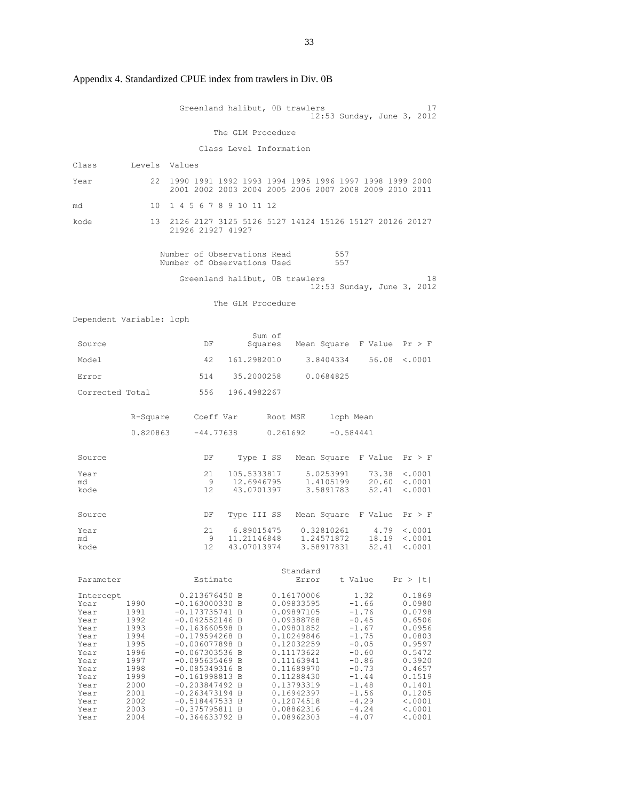|                                                                                                                                   |                                                                                                                      | Greenland halibut, OB trawlers                                                                                                                                                                                                                                                                                            |                           |        |                                                                                                                                                                                                                              |                                                                                                                                                                   |                | 17<br>12:53 Sunday, June 3, 2012                                                                                                                                        |
|-----------------------------------------------------------------------------------------------------------------------------------|----------------------------------------------------------------------------------------------------------------------|---------------------------------------------------------------------------------------------------------------------------------------------------------------------------------------------------------------------------------------------------------------------------------------------------------------------------|---------------------------|--------|------------------------------------------------------------------------------------------------------------------------------------------------------------------------------------------------------------------------------|-------------------------------------------------------------------------------------------------------------------------------------------------------------------|----------------|-------------------------------------------------------------------------------------------------------------------------------------------------------------------------|
|                                                                                                                                   |                                                                                                                      |                                                                                                                                                                                                                                                                                                                           | The GLM Procedure         |        |                                                                                                                                                                                                                              |                                                                                                                                                                   |                |                                                                                                                                                                         |
|                                                                                                                                   |                                                                                                                      |                                                                                                                                                                                                                                                                                                                           | Class Level Information   |        |                                                                                                                                                                                                                              |                                                                                                                                                                   |                |                                                                                                                                                                         |
| Class                                                                                                                             | Levels Values                                                                                                        |                                                                                                                                                                                                                                                                                                                           |                           |        |                                                                                                                                                                                                                              |                                                                                                                                                                   |                |                                                                                                                                                                         |
| Year                                                                                                                              | 22                                                                                                                   | 1990 1991 1992 1993 1994 1995 1996 1997 1998 1999 2000<br>2001 2002 2003 2004 2005 2006 2007 2008 2009 2010 2011                                                                                                                                                                                                          |                           |        |                                                                                                                                                                                                                              |                                                                                                                                                                   |                |                                                                                                                                                                         |
| md                                                                                                                                | 10                                                                                                                   | 1 4 5 6 7 8 9 10 11 12                                                                                                                                                                                                                                                                                                    |                           |        |                                                                                                                                                                                                                              |                                                                                                                                                                   |                |                                                                                                                                                                         |
| kode                                                                                                                              | 13                                                                                                                   | 2126 2127 3125 5126 5127 14124 15126 15127 20126 20127<br>21926 21927 41927                                                                                                                                                                                                                                               |                           |        |                                                                                                                                                                                                                              |                                                                                                                                                                   |                |                                                                                                                                                                         |
|                                                                                                                                   |                                                                                                                      | Number of Observations Read<br>Number of Observations Used                                                                                                                                                                                                                                                                |                           |        |                                                                                                                                                                                                                              | 557<br>557                                                                                                                                                        |                |                                                                                                                                                                         |
|                                                                                                                                   |                                                                                                                      | Greenland halibut, OB trawlers                                                                                                                                                                                                                                                                                            |                           |        |                                                                                                                                                                                                                              |                                                                                                                                                                   |                | 18<br>12:53 Sunday, June 3, 2012                                                                                                                                        |
|                                                                                                                                   |                                                                                                                      |                                                                                                                                                                                                                                                                                                                           | The GLM Procedure         |        |                                                                                                                                                                                                                              |                                                                                                                                                                   |                |                                                                                                                                                                         |
| Dependent Variable: lcph                                                                                                          |                                                                                                                      |                                                                                                                                                                                                                                                                                                                           |                           |        |                                                                                                                                                                                                                              |                                                                                                                                                                   |                |                                                                                                                                                                         |
| Source                                                                                                                            |                                                                                                                      | DF                                                                                                                                                                                                                                                                                                                        |                           | Sum of |                                                                                                                                                                                                                              |                                                                                                                                                                   |                | Squares Mean Square F Value Pr > F                                                                                                                                      |
| Model                                                                                                                             |                                                                                                                      | 42                                                                                                                                                                                                                                                                                                                        | 161.2982010               |        |                                                                                                                                                                                                                              | 3.8404334                                                                                                                                                         |                | 56.08 < .0001                                                                                                                                                           |
| Error                                                                                                                             |                                                                                                                      | 514                                                                                                                                                                                                                                                                                                                       | 35.2000258                |        |                                                                                                                                                                                                                              | 0.0684825                                                                                                                                                         |                |                                                                                                                                                                         |
| Corrected Total                                                                                                                   |                                                                                                                      | 556                                                                                                                                                                                                                                                                                                                       | 196.4982267               |        |                                                                                                                                                                                                                              |                                                                                                                                                                   |                |                                                                                                                                                                         |
|                                                                                                                                   |                                                                                                                      | R-Square Coeff Var Root MSE 1cph Mean                                                                                                                                                                                                                                                                                     |                           |        |                                                                                                                                                                                                                              |                                                                                                                                                                   |                |                                                                                                                                                                         |
|                                                                                                                                   | 0.820863                                                                                                             | -44.77638                                                                                                                                                                                                                                                                                                                 |                           |        | 0.261692                                                                                                                                                                                                                     | $-0.584441$                                                                                                                                                       |                |                                                                                                                                                                         |
| Source                                                                                                                            |                                                                                                                      | DF                                                                                                                                                                                                                                                                                                                        |                           |        | Type I SS Mean Square F Value                                                                                                                                                                                                |                                                                                                                                                                   |                | Pr > F                                                                                                                                                                  |
| Year<br>md                                                                                                                        |                                                                                                                      | 21<br>- 9                                                                                                                                                                                                                                                                                                                 | 105.5333817<br>12.6946795 |        |                                                                                                                                                                                                                              | 5.0253991<br>1.4105199                                                                                                                                            | 73.38<br>20.60 | < .0001<br>< .0001                                                                                                                                                      |
| kode                                                                                                                              |                                                                                                                      | 12                                                                                                                                                                                                                                                                                                                        | 43.0701397                |        |                                                                                                                                                                                                                              | 3.5891783 52.41                                                                                                                                                   |                | $\langle .0001$                                                                                                                                                         |
| Source                                                                                                                            |                                                                                                                      | DF                                                                                                                                                                                                                                                                                                                        |                           |        | Type III SS Mean Square F Value                                                                                                                                                                                              |                                                                                                                                                                   |                | Pr > F                                                                                                                                                                  |
| Year<br>md                                                                                                                        |                                                                                                                      | 21<br>9                                                                                                                                                                                                                                                                                                                   | 11.21146848               |        |                                                                                                                                                                                                                              | 1.24571872                                                                                                                                                        | 4.79<br>18.19  | < .0001<br>< .0001                                                                                                                                                      |
| kode                                                                                                                              |                                                                                                                      | 12                                                                                                                                                                                                                                                                                                                        | 43.07013974               |        |                                                                                                                                                                                                                              | 3.58917831                                                                                                                                                        |                | $52.41 \t < .0001$                                                                                                                                                      |
| Parameter                                                                                                                         |                                                                                                                      | Estimate                                                                                                                                                                                                                                                                                                                  |                           |        | Standard<br>Error                                                                                                                                                                                                            | t Value                                                                                                                                                           |                | Pr >  t                                                                                                                                                                 |
| Intercept<br>Year<br>Year<br>Year<br>Year<br>Year<br>Year<br>Year<br>Year<br>Year<br>Year<br>Year<br>Year<br>Year<br>Year<br>Year | 1990<br>1991<br>1992<br>1993<br>1994<br>1995<br>1996<br>1997<br>1998<br>1999<br>2000<br>2001<br>2002<br>2003<br>2004 | 0.213676450 B<br>$-0.163000330$ B<br>$-0.173735741 B$<br>$-0.042552146 B$<br>$-0.163660598$ B<br>$-0.179594268$ B<br>$-0.006077898 B$<br>$-0.067303536 B$<br>$-0.095635469$ B<br>$-0.085349316 B$<br>$-0.161998813 B$<br>$-0.203847492 B$<br>$-0.263473194 B$<br>$-0.518447533 B$<br>$-0.375795811$ B<br>$-0.364633792 B$ |                           |        | 0.16170006<br>0.09833595<br>0.09897105<br>0.09388788<br>0.09801852<br>0.10249846<br>0.12032259<br>0.11173622<br>0.11163941<br>0.11689970<br>0.11288430<br>0.13793319<br>0.16942397<br>0.12074518<br>0.08862316<br>0.08962303 | $-1.66$<br>$-1.76$<br>$-0.45$<br>$-1.67$<br>$-1.75$<br>$-0.05$<br>$-0.60$<br>$-0.86$<br>$-0.73$<br>$-1.44$<br>$-1.48$<br>$-1.56$<br>$-4.29$<br>$-4.24$<br>$-4.07$ | 1.32           | 0.1869<br>0.0980<br>0.0798<br>0.6506<br>0.0956<br>0.0803<br>0.9597<br>0.5472<br>0.3920<br>0.4657<br>0.1519<br>0.1401<br>0.1205<br>< .0001<br>$\langle .0001$<br>< .0001 |

Appendix 4. Standardized CPUE index from trawlers in Div. 0B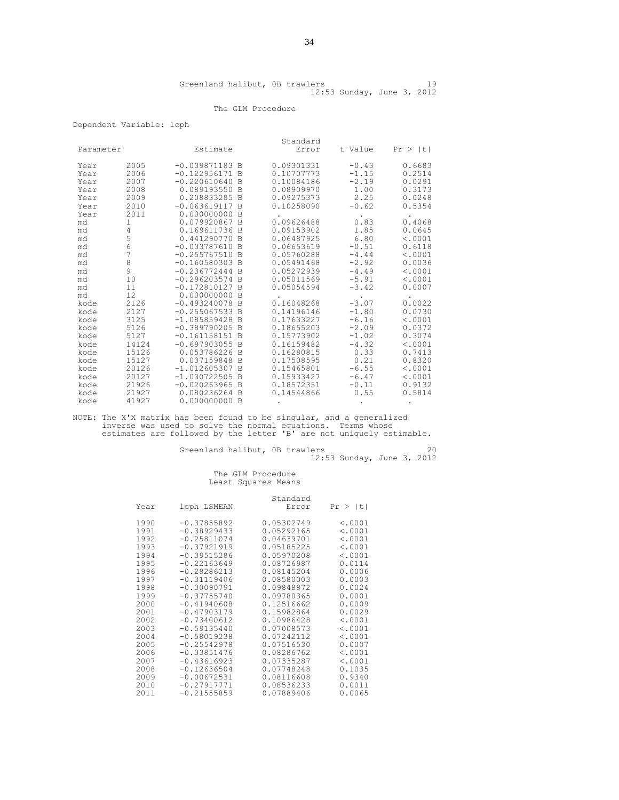#### The GLM Procedure

#### Dependent Variable: lcph

|           |       |                  |                | Standard   |         |              |
|-----------|-------|------------------|----------------|------------|---------|--------------|
| Parameter |       | Estimate         |                | Error      | t Value | $Pr$ > $ t $ |
| Year      | 2005  | $-0.039871183 B$ |                | 0.09301331 | $-0.43$ | 0.6683       |
| Year      | 2006  | $-0.122956171$   | <b>B</b>       | 0.10707773 | $-1.15$ | 0.2514       |
| Year      | 2007  | $-0.220610640$   | B              | 0.10084186 | $-2.19$ | 0.0291       |
| Year      | 2008  | 0.089193550      | B              | 0.08909970 | 1.00    | 0.3173       |
| Year      | 2009  | 0.208833285      | <b>B</b>       | 0.09275373 | 2.25    | 0.0248       |
| Year      | 2010  | $-0.063619117$   | B              | 0.10258090 | $-0.62$ | 0.5354       |
| Year      | 2011  | 0.000000000      | B              |            |         |              |
| md        | 1     | 0.079920867      | B.             | 0.09626488 | 0.83    | 0.4068       |
| md        | 4     | 0.169611736      | B              | 0.09153902 | 1.85    | 0.0645       |
| md        | 5     | 0.441290770      | B              | 0.06487925 | 6.80    | < .0001      |
| md        | 6     | $-0.033787610$   | B              | 0.06653619 | $-0.51$ | 0.6118       |
| md        | 7     | $-0.255767510$   | <sup>B</sup>   | 0.05760288 | $-4.44$ | < .0001      |
| md        | 8     | $-0.160580303$   | $\mathbb{R}$   | 0.05491468 | $-2.92$ | 0.0036       |
| md        | 9     | $-0.236772444$   | <b>B</b>       | 0.05272939 | $-4.49$ | < .0001      |
| md        | 10    | $-0.296203574$   | $\mathbb{R}$   | 0.05011569 | $-5.91$ | < .0001      |
| md        | 11    | $-0.172810127$   | $\overline{B}$ | 0.05054594 | $-3.42$ | 0.0007       |
| md        | 12    | 0.000000000      | B              |            |         |              |
| kode      | 2126  | $-0.493240078$   | B              | 0.16048268 | $-3.07$ | 0.0022       |
| kode      | 2127  | $-0.255067533$   | B              | 0.14196146 | $-1.80$ | 0.0730       |
| kode      | 3125  | $-1.085859428$   | B              | 0.17633227 | $-6.16$ | < .0001      |
| kode      | 5126  | $-0.389790205$   | B              | 0.18655203 | $-2.09$ | 0.0372       |
| kode      | 5127  | $-0.161158151$   | B              | 0.15773902 | $-1.02$ | 0.3074       |
| kode      | 14124 | $-0.697903055$   | B              | 0.16159482 | $-4.32$ | < .0001      |
| kode      | 15126 | 0.053786226      | B              | 0.16280815 | 0.33    | 0.7413       |
| kode      | 15127 | 0.037159848      | B              | 0.17508595 | 0.21    | 0.8320       |
| kode      | 20126 | $-1.012605307$   | B              | 0.15465801 | $-6.55$ | < .0001      |
| kode      | 20127 | $-1.030722505$   | B              | 0.15933427 | $-6.47$ | < .0001      |
| kode      | 21926 | $-0.020263965$   | B              | 0.18572351 | $-0.11$ | 0.9132       |
| kode      | 21927 | 0.080236264      | <sup>B</sup>   | 0.14544866 | 0.55    | 0.5814       |
| kode      | 41927 | 0.000000000      | B              |            |         |              |

NOTE: The X'X matrix has been found to be singular, and a generalized inverse was used to solve the normal equations. Terms whose estimates are followed by the letter 'B' are not uniquely estimable.

Greenland halibut, 0B trawlers and the contract of  $20$ 12:53 Sunday, June 3, 2012

|      |               | Standard   |         |
|------|---------------|------------|---------|
| Year | lcph LSMEAN   | Error      | Pr >  t |
| 1990 | $-0.37855892$ | 0.05302749 | < .0001 |
| 1991 | $-0.38929433$ | 0.05292165 | < .0001 |
| 1992 | $-0.25811074$ | 0.04639701 | < .0001 |
| 1993 | $-0.37921919$ | 0.05185225 | < .0001 |
| 1994 | $-0.39515286$ | 0.05970208 | < .0001 |
| 1995 | $-0.22163649$ | 0.08726987 | 0.0114  |
| 1996 | $-0.28286213$ | 0.08145204 | 0.0006  |
| 1997 | $-0.31119406$ | 0.08580003 | 0.0003  |
| 1998 | $-0.30090791$ | 0.09848872 | 0.0024  |
| 1999 | $-0.37755740$ | 0.09780365 | 0.0001  |
| 2000 | $-0.41940608$ | 0.12516662 | 0.0009  |
| 2001 | $-0.47903179$ | 0.15982864 | 0.0029  |
| 2002 | $-0.73400612$ | 0.10986428 | < .0001 |
| 2003 | $-0.59135440$ | 0.07008573 | < .0001 |
| 2004 | $-0.58019238$ | 0.07242112 | < .0001 |
| 2005 | $-0.25542978$ | 0.07516530 | 0.0007  |
| 2006 | $-0.33851476$ | 0.08286762 | < .0001 |
| 2007 | $-0.43616923$ | 0.07335287 | < .0001 |
| 2008 | $-0.12636504$ | 0.07748248 | 0.1035  |
| 2009 | $-0.00672531$ | 0.08116608 | 0.9340  |
| 2010 | $-0.27917771$ | 0.08536233 | 0.0011  |
| 2011 | $-0.21555859$ | 0.07889406 | 0.0065  |
|      |               |            |         |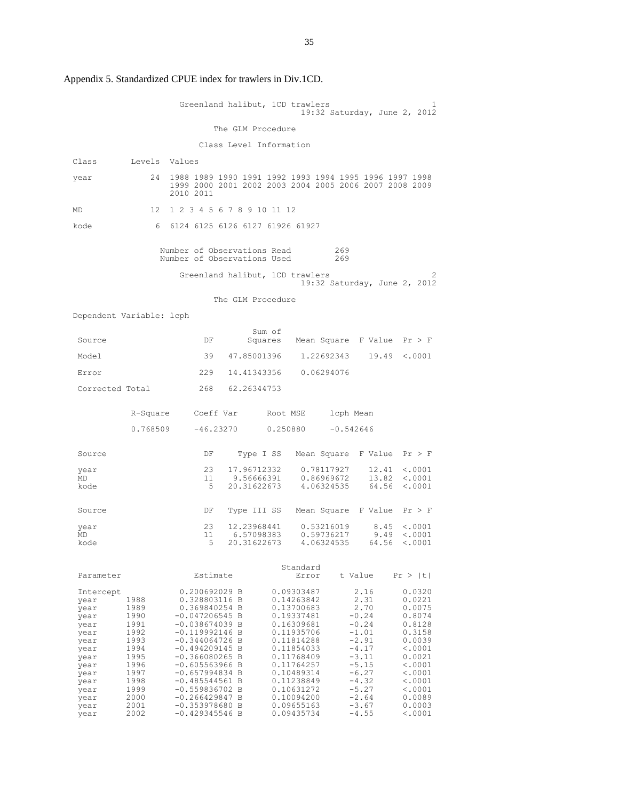|                          |               |                                                            |                           | Greenland halibut, 1CD trawlers | 19:32 Saturday, June 2, 2012                                                                                     |                                    |
|--------------------------|---------------|------------------------------------------------------------|---------------------------|---------------------------------|------------------------------------------------------------------------------------------------------------------|------------------------------------|
|                          |               |                                                            | The GLM Procedure         |                                 |                                                                                                                  |                                    |
|                          |               |                                                            |                           | Class Level Information         |                                                                                                                  |                                    |
| Class                    | Levels Values |                                                            |                           |                                 |                                                                                                                  |                                    |
|                          |               |                                                            |                           |                                 |                                                                                                                  |                                    |
| year                     | 24            | 2010 2011                                                  |                           |                                 | 1988 1989 1990 1991 1992 1993 1994 1995 1996 1997 1998<br>1999 2000 2001 2002 2003 2004 2005 2006 2007 2008 2009 |                                    |
| MD                       | 12            | 1 2 3 4 5 6 7 8 9 10 11 12                                 |                           |                                 |                                                                                                                  |                                    |
| kode                     |               | 6 6124 6125 6126 6127 61926 61927                          |                           |                                 |                                                                                                                  |                                    |
|                          |               | Number of Observations Read<br>Number of Observations Used |                           |                                 | 269<br>269                                                                                                       |                                    |
|                          |               |                                                            |                           | Greenland halibut, 1CD trawlers | 19:32 Saturday, June 2, 2012                                                                                     | 2                                  |
|                          |               |                                                            | The GLM Procedure         |                                 |                                                                                                                  |                                    |
| Dependent Variable: lcph |               |                                                            |                           |                                 |                                                                                                                  |                                    |
| Source                   |               | DF                                                         |                           | Sum of                          | Squares Mean Square F Value $Pr > F$                                                                             |                                    |
| Model                    |               | 39                                                         | 47.85001396               |                                 | 1.22692343<br>19.49                                                                                              | < .0001                            |
| Error                    |               | 229                                                        | 14.41343356               |                                 | 0.06294076                                                                                                       |                                    |
| Corrected Total          |               | 268                                                        | 62.26344753               |                                 |                                                                                                                  |                                    |
|                          |               | R-Square Coeff Var                                         |                           | Root MSE                        | lcph Mean                                                                                                        |                                    |
|                          | 0.768509      |                                                            |                           | $-46.23270$ 0.250880            | $-0.542646$                                                                                                      |                                    |
| Source                   |               | DF                                                         | Type I SS                 |                                 | Mean Square F Value                                                                                              | Pr > F                             |
| year<br>MD               |               | 23<br>11                                                   | 17.96712332<br>9.56666391 |                                 | 0.78117927<br>12.41<br>0.86969672<br>13.82                                                                       | $\langle .0001$<br>< .0001         |
| kode                     |               | 5                                                          |                           | 20.31622673 4.06324535          | 64.56                                                                                                            | < .0001                            |
| Source                   |               | DF                                                         |                           |                                 | Type III SS Mean Square F Value                                                                                  | Pr > F                             |
| year<br>MD               |               | 23<br>11                                                   | 12.23968441<br>6.57098383 |                                 | 8.45<br>0.53216019<br>9.49<br>0.59736217                                                                         | $\langle .0001 \rangle$<br>< .0001 |
| kode                     |               | 5                                                          | 20.31622673               |                                 | 4.06324535                                                                                                       | $64.56 \t < .0001$                 |
|                          |               |                                                            |                           |                                 |                                                                                                                  |                                    |
| Parameter                |               | Estimate                                                   |                           | Standard<br>Error               | t Value                                                                                                          | Pr >  t                            |
| Intercept                |               | 0.200692029 B                                              |                           | 0.09303487                      | 2.16                                                                                                             | 0.0320                             |
| year<br>year             | 1988<br>1989  | 0.328803116 B<br>0.369840254 B                             |                           | 0.14263842<br>0.13700683        | 2.31<br>2.70                                                                                                     | 0.0221<br>0.0075                   |
| year                     | 1990<br>1991  | $-0.047206545 B$<br>$-0.038674039$ B                       |                           | 0.19337481<br>0.16309681        | $-0.24$<br>$-0.24$                                                                                               | 0.8074<br>0.8128                   |
| year<br>year             | 1992          | $-0.119992146 B$                                           |                           | 0.11935706                      | $-1.01$                                                                                                          | 0.3158                             |
| year<br>year             | 1993<br>1994  | $-0.344064726 B$<br>$-0.494209145 B$                       |                           | 0.11814288<br>0.11854033        | $-2.91$<br>$-4.17$                                                                                               | 0.0039<br>< .0001                  |
| year                     | 1995          | $-0.366080265 B$                                           |                           | 0.11768409                      | $-3.11$                                                                                                          | 0.0021                             |
| year<br>year             | 1996<br>1997  | $-0.605563966$ B<br>$-0.657994834 B$                       |                           | 0.11764257<br>0.10489314        | $-5.15$<br>$-6.27$                                                                                               | < .0001<br>$\langle .0001$         |
| year                     | 1998          | $-0.485544561 B$                                           |                           | 0.11238849                      | $-4.32$                                                                                                          | < .0001                            |
| year<br>year             | 1999<br>2000  | $-0.559836702 B$<br>$-0.266429847 B$                       |                           | 0.10631272<br>0.10094200        | $-5.27$<br>$-2.64$                                                                                               | < .0001<br>0.0089                  |
| year                     | 2001          | $-0.353978680 B$                                           |                           | 0.09655163                      | $-3.67$<br>$-4.55$                                                                                               | 0.0003                             |
| year                     | 2002          | $-0.429345546$ B                                           |                           | 0.09435734                      |                                                                                                                  | $\langle .0001$                    |

Appendix 5. Standardized CPUE index for trawlers in Div.1CD.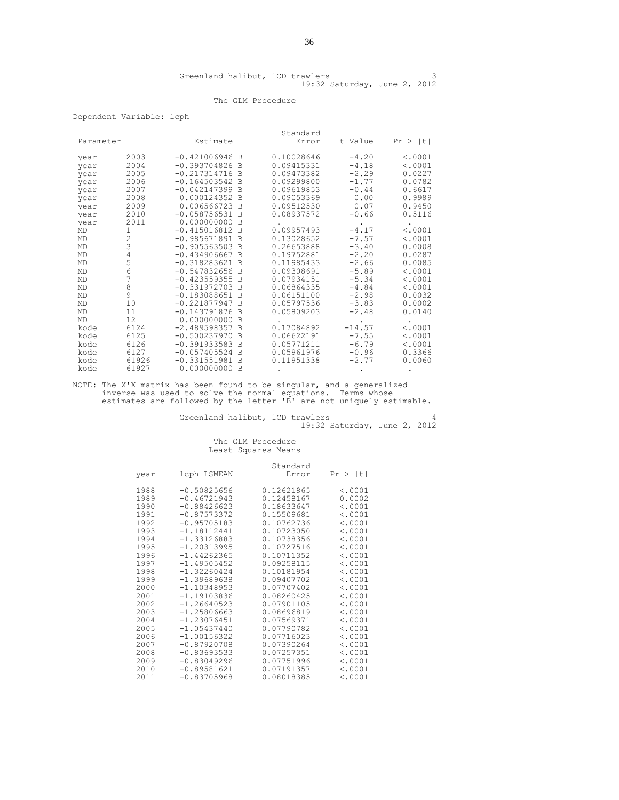#### The GLM Procedure

Dependent Variable: lcph

|           |                |                  |                | Standard   |          |         |
|-----------|----------------|------------------|----------------|------------|----------|---------|
| Parameter |                | Estimate         |                | Error      | t Value  | Pr >  t |
| year      | 2003           | $-0.421006946$ B |                | 0.10028646 | $-4.20$  | < .0001 |
| year      | 2004           | $-0.393704826$ B |                | 0.09415331 | $-4.18$  | < .0001 |
| year      | 2005           | $-0.217314716$   | <b>B</b>       | 0.09473382 | $-2.29$  | 0.0227  |
| year      | 2006           | $-0.164503542 B$ |                | 0.09299800 | $-1.77$  | 0.0782  |
| year      | 2007           | $-0.042147399$   | -B             | 0.09619853 | $-0.44$  | 0.6617  |
| year      | 2008           | 0.000124352      | <b>B</b>       | 0.09053369 | 0.00     | 0.9989  |
| year      | 2009           | 0.006566723 B    |                | 0.09512530 | 0.07     | 0.9450  |
| year      | 2010           | $-0.058756531$   | - B            | 0.08937572 | $-0.66$  | 0.5116  |
| year      | 2011           | 0.000000000      | B              |            |          |         |
| MD        | 1              | $-0.415016812$ B |                | 0.09957493 | $-4.17$  | < .0001 |
| MD        | $\overline{2}$ | $-0.985671891 B$ |                | 0.13028652 | $-7.57$  | < .0001 |
| MD        | 3              | $-0.905563503$   | $\overline{B}$ | 0.26653888 | $-3.40$  | 0.0008  |
| MD        | 4              | $-0.434906667$   | - B            | 0.19752881 | $-2.20$  | 0.0287  |
| MD        | 5              | $-0.318283621$   | <b>B</b>       | 0.11985433 | $-2.66$  | 0.0085  |
| MD        | 6              | $-0.547832656$   | <b>B</b>       | 0.09308691 | $-5.89$  | < .0001 |
| MD        | 7              | $-0.423559355$   | $\overline{B}$ | 0.07934151 | $-5.34$  | < .0001 |
| MD        | 8              | $-0.331972703$   | <b>B</b>       | 0.06864335 | $-4.84$  | < .0001 |
| MD        | 9              | $-0.183088651$   | $\mathbb{R}$   | 0.06151100 | $-2.98$  | 0.0032  |
| <b>MD</b> | 10             | $-0.221877947$   | -B             | 0.05797536 | $-3.83$  | 0.0002  |
| <b>MD</b> | 11             | $-0.143791876$   | <b>B</b>       | 0.05809203 | $-2.48$  | 0.0140  |
| <b>MD</b> | 12.            | 0.000000000      | <sup>B</sup>   |            |          |         |
| kode      | 6124           | $-2.489598357$   | <sup>B</sup>   | 0.17084892 | $-14.57$ | < .0001 |
| kode      | 6125           | $-0.500237970$   | B              | 0.06622191 | $-7.55$  | < .0001 |
| kode      | 6126           | $-0.391933583$   | <b>B</b>       | 0.05771211 | $-6.79$  | < .0001 |
| kode      | 6127           | $-0.057405524$   | B <sub>B</sub> | 0.05961976 | $-0.96$  | 0.3366  |
| kode      | 61926          | $-0.331551981$   | -B             | 0.11951338 | $-2.77$  | 0.0060  |
| kode      | 61927          | 0.000000000      | B              |            |          |         |

NOTE: The X'X matrix has been found to be singular, and a generalized inverse was used to solve the normal equations. Terms whose estimates are followed by the letter 'B' are not uniquely estimable.

|  | Greenland halibut, 1CD trawlers |  |                              |  |  |
|--|---------------------------------|--|------------------------------|--|--|
|  |                                 |  | 19:32 Saturday, June 2, 2012 |  |  |

|      |               | Standard   |         |
|------|---------------|------------|---------|
| year | lcph LSMEAN   | Error      | Pr >  t |
| 1988 | $-0.50825656$ | 0.12621865 | < .0001 |
| 1989 | $-0.46721943$ | 0.12458167 | 0.0002  |
| 1990 | $-0.88426623$ | 0.18633647 | < .0001 |
| 1991 | $-0.87573372$ | 0.15509681 | < .0001 |
| 1992 | $-0.95705183$ | 0.10762736 | < .0001 |
| 1993 | $-1.18112441$ | 0.10723050 | < .0001 |
| 1994 | $-1.33126883$ | 0.10738356 | < .0001 |
| 1995 | $-1.20313995$ | 0.10727516 | < .0001 |
| 1996 | $-1.44262365$ | 0.10711352 | < .0001 |
| 1997 | $-1.49505452$ | 0.09258115 | < .0001 |
| 1998 | $-1.32260424$ | 0.10181954 | < .0001 |
| 1999 | $-1.39689638$ | 0.09407702 | < .0001 |
| 2000 | $-1.10348953$ | 0.07707402 | < .0001 |
| 2001 | $-1.19103836$ | 0.08260425 | < .0001 |
| 2002 | $-1.26640523$ | 0.07901105 | < .0001 |
| 2003 | $-1.25806663$ | 0.08696819 | < .0001 |
| 2004 | $-1.23076451$ | 0.07569371 | < .0001 |
| 2005 | $-1.05437440$ | 0.07790782 | < .0001 |
| 2006 | $-1.00156322$ | 0.07716023 | < .0001 |
| 2007 | $-0.87920708$ | 0.07390264 | < .0001 |
| 2008 | $-0.83693533$ | 0.07257351 | < .0001 |
| 2009 | $-0.83049296$ | 0.07751996 | < .0001 |
| 2010 | $-0.89581621$ | 0.07191357 | < .0001 |
| 2011 | $-0.83705968$ | 0.08018385 | < .0001 |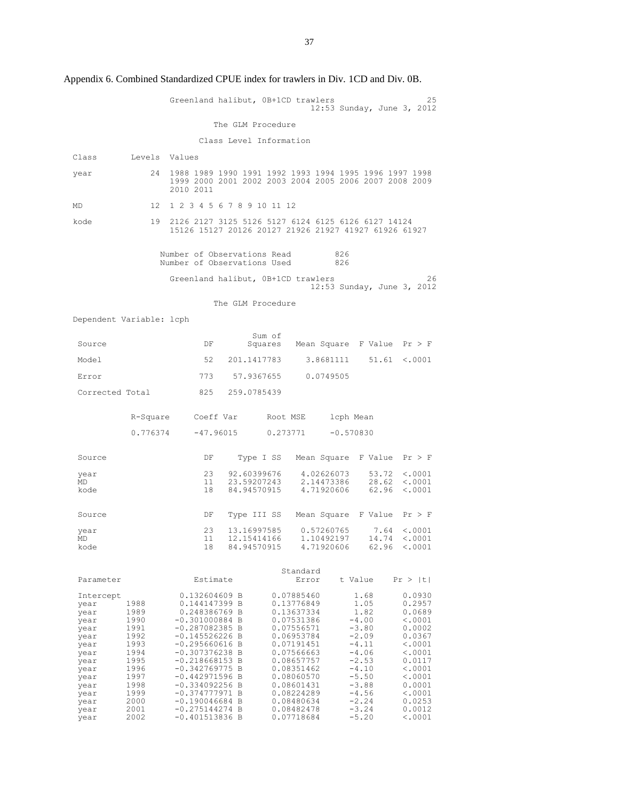Greenland halibut, 0B+1CD trawlers 12:53 Sunday, June 3, 2012 The GLM Procedure Class Level Information Class Levels Values year 24 1988 1989 1990 1991 1992 1993 1994 1995 1996 1997 1998 1999 2000 2001 2002 2003 2004 2005 2006 2007 2008 2009 2010 2011 MD 12 1 2 3 4 5 6 7 8 9 10 11 12 kode 19 2126 2127 3125 5126 5127 6124 6125 6126 6127 14124 15126 15127 20126 20127 21926 21927 41927 61926 61927 Number of Observations Read 826<br>Number of Observations Used 826 Number of Observations Used Greenland halibut, 0B+1CD trawlers 26 12:53 Sunday, June 3, 2012 The GLM Procedure Dependent Variable: lcph Surce Source DF Sum of Mean Square F Value  $Pr > F$ Model 52 201.1417783 3.8681111 51.61 <.0001 Error 773 57.9367655 0.0749505 Corrected Total 825 259.0785439 R-Square Coeff Var Root MSE lcph Mean  $0.776374 -47.96015 -0.273771 -0.570830$ Source Source DF Type I SS Mean Square F Value Pr > F year 23 92.60399676 4.02626073 53.72 <.0001 MD 11 23.59207243 2.14473386 28.62 <.0001 kode 18 84.94570915 4.71920606 62.96 <.0001 Source Source DF Type III SS Mean Square F Value Pr > F year 23 13.16997585 0.57260765 7.64 <.0001<br>MD 11 12.15414166 1.10492197 14.74 <.0001 MD 11 12.15414166 1.10492197 14.74 <.0001<br>kode 18 84.94570915 4.71920606 62.96 <.0001  $62.96 < .0001$ Standard<br>
Estimate Stror<br>
Extror Estimate Error t Value Pr > |t| Intercept 0.132604609 B 0.07885460 1.68 0.0930 year 1988 0.144147399 B 0.13776849 1.05 0.2957 year 1989 0.248386769 B 0.13637334<br>year 1990 -0.301000884 B 0.07531386<br>year 1991 -0.287082385 B 0.07556571 year 1990 -0.301000884 B 0.07531386 -4.00 <.0001 year 1991 -0.287082385 B 0.07556571 -3.80 0.0002 year 1991 -0.287082385 B 0.07556571 -3.80 0.0002<br>year 1992 -0.145526226 B 0.06953784 -2.09 0.0367<br>year 1993 -0.295660616 B 0.07191451 -4.11 <.0001  $-0.295660616$  B  $-0.307376238$  B  $-4.06$ <br> $-0.218668153$  B  $0.07566663$   $-4.06$ <br> $-0.218668153$  B  $0.08657757$   $-2.53$ year 1994 -0.307376238 B 0.07566663 -4.06 <.0001<br>year 1995 -0.218668153 B 0.08657757 -2.53 0.0117 year 1995 -0.218668153 B 0.08657757 -2.53 0.0117<br>year 1996 -0.342769775 B 0.08351462 -4.10 <.0001 year 1996 -0.342769775 B 0.08351462 -4.10 <.0001 year 1997 -0.442971596 B 0.08060570 -5.50 <.0001 year 1998 -0.334092256 B 0.08601431 -3.88 0.0001 year 1999 -0.374777971 B 0.08224289 -4.56 <.0001 year 2000 -0.190046684 B 0.08480634 -2.24 0.0253 year 2001 -0.275144274 B 0.08482478 -3.24 0.0012<br>year 2002 -0.401513836 B 0.07718684 -5.20 <.0001  $-0.401513836 B$ 

Appendix 6. Combined Standardized CPUE index for trawlers in Div. 1CD and Div. 0B.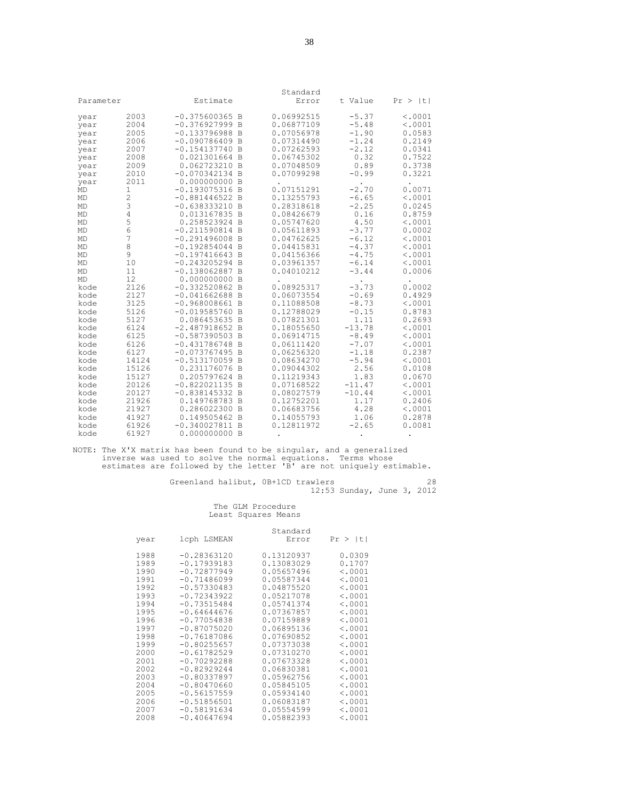| Parameter    |              | Estimate                           |                | Standard<br>Error        | t Value             | Pr ><br>- Itl      |
|--------------|--------------|------------------------------------|----------------|--------------------------|---------------------|--------------------|
|              |              |                                    |                |                          |                     |                    |
| year         | 2003         | $-0.375600365$ B                   |                | 0.06992515               | $-5.37$             | < .0001            |
| year         | 2004         | $-0.376927999B$                    |                | 0.06877109               | $-5.48$             | < .0001            |
| year         | 2005         | $-0.133796988$ B                   |                | 0.07056978               | $-1.90$             | 0.0583             |
| year         | 2006         | $-0.090786409$<br>$-0.154137740 B$ | B              | 0.07314490<br>0.07262593 | $-1.24$<br>$-2.12$  | 0.2149<br>0.0341   |
| year         | 2007<br>2008 | 0.021301664 B                      |                | 0.06745302               | 0.32                | 0.7522             |
| year<br>year | 2009         | 0.062723210 B                      |                | 0.07048509               | 0.89                | 0.3738             |
| year         | 2010         | $-0.070342134$ B                   |                | 0.07099298               | $-0.99$             | 0.3221             |
| year         | 2011         | 0.000000000 B                      |                |                          |                     |                    |
| MD           | $\mathbf{1}$ | $-0.193075316$                     | $\overline{B}$ | 0.07151291               | $-2.70$             | 0.0071             |
| MD           | 2            | $-0.881446522 B$                   |                | 0.13255793               | $-6.65$             | < .0001            |
| MD           | 3            | $-0.638333210$                     | B              | 0.28318618               | $-2.25$             | 0.0245             |
| MD           | 4            | 0.013167835                        | $\overline{B}$ | 0.08426679               | 0.16                | 0.8759             |
| MD           | 5            | 0.258523924 B                      |                | 0.05747620               | 4.50                | < .0001            |
| MD           | 6            | $-0.211590814$ B                   |                | 0.05611893               | $-3.77$             | 0.0002             |
| MD           | 7            | $-0.291496008$ B                   |                | 0.04762625               | $-6.12$             | < .0001            |
| MD           | 8            | $-0.192854044 B$                   |                | 0.04415831               | $-4.37$             | < .0001            |
| <b>MD</b>    | 9            | $-0.197416643 B$                   |                | 0.04156366               | $-4.75$             | < .0001            |
| MD           | 10           | $-0.243205294$ B                   |                | 0.03961357               | $-6.14$             | < .0001            |
| MD           | 11           | $-0.138062887$                     | B              | 0.04010212               | $-3.44$             | 0.0006             |
| <b>MD</b>    | 12           | 0.000000000                        | B              |                          |                     |                    |
| kode         | 2126         | $-0.332520862$ B                   |                | 0.08925317               | $-3.73$             | 0.0002             |
| kode         | 2127         | $-0.041662688$                     | B              | 0.06073554               | $-0.69$             | 0.4929             |
| kode         | 3125         | $-0.968008661$ B                   |                | 0.11088508               | $-8.73$             | < .0001            |
| kode         | 5126         | $-0.019585760$                     | $\overline{B}$ | 0.12788029               | $-0.15$             | 0.8783             |
| kode         | 5127         | 0.086453635 B                      |                | 0.07821301               | 1.11                | 0.2693             |
| kode<br>kode | 6124<br>6125 | $-2.487918652 B$<br>$-0.587390503$ | B              | 0.18055650<br>0.06914715 | $-13.78$<br>$-8.49$ | < .0001<br>< .0001 |
| kode         | 6126         | $-0.431786748$                     | $\overline{B}$ | 0.06111420               | $-7.07$             | < .0001            |
| kode         | 6127         | $-0.073767495$                     | <sup>B</sup>   | 0.06256320               | $-1.18$             | 0.2387             |
| kode         | 14124        | $-0.513170059$ B                   |                | 0.08634270               | $-5.94$             | < .0001            |
| kode         | 15126        | 0.231176076                        | $\overline{B}$ | 0.09044302               | 2.56                | 0.0108             |
| kode         | 15127        | 0.205797624 B                      |                | 0.11219343               | 1.83                | 0.0670             |
| kode         | 20126        | $-0.822021135 B$                   |                | 0.07168522               | $-11.47$            | < .0001            |
| kode         | 20127        | $-0.838145332 B$                   |                | 0.08027579               | $-10.44$            | < .0001            |
| kode         | 21926        | 0.149768783                        | $\overline{B}$ | 0.12752201               | 1.17                | 0.2406             |
| kode         | 21927        | 0.286022300 B                      |                | 0.06683756               | 4.28                | < .0001            |
| kode         | 41927        | 0.149505462 B                      |                | 0.14055793               | 1.06                | 0.2878             |
| kode         | 61926        | $-0.340027811 B$                   |                | 0.12811972               | $-2.65$             | 0.0081             |
| kode         | 61927        | 0.000000000 B                      |                |                          |                     |                    |

NOTE: The X'X matrix has been found to be singular, and a generalized inverse was used to solve the normal equations. Terms whose estimates are followed by the letter 'B' are not uniquely estimable.

Greenland halibut, 0B+1CD trawlers 28 12:53 Sunday, June 3, 2012

|      |               | Standard   |         |
|------|---------------|------------|---------|
| year | lcph LSMEAN   | Error      | Pr >  t |
| 1988 | $-0.28363120$ | 0.13120937 | 0.0309  |
| 1989 | $-0.17939183$ | 0.13083029 | 0.1707  |
| 1990 | $-0.72877949$ | 0.05657496 | < .0001 |
| 1991 | $-0.71486099$ | 0.05587344 | < .0001 |
| 1992 | $-0.57330483$ | 0.04875520 | < .0001 |
| 1993 | $-0.72343922$ | 0.05217078 | < .0001 |
| 1994 | $-0.73515484$ | 0.05741374 | < .0001 |
| 1995 | $-0.64644676$ | 0.07367857 | < .0001 |
| 1996 | $-0.77054838$ | 0.07159889 | < .0001 |
| 1997 | $-0.87075020$ | 0.06895136 | < .0001 |
| 1998 | $-0.76187086$ | 0.07690852 | < .0001 |
| 1999 | $-0.80255657$ | 0.07373038 | < .0001 |
| 2000 | $-0.61782529$ | 0.07310270 | < .0001 |
| 2001 | $-0.70292288$ | 0.07673328 | < .0001 |
| 2002 | $-0.82929244$ | 0.06830381 | < .0001 |
| 2003 | $-0.80337897$ | 0.05962756 | < .0001 |
| 2004 | $-0.80470660$ | 0.05845105 | < .0001 |
| 2005 | $-0.56157559$ | 0.05934140 | < .0001 |
| 2006 | $-0.51856501$ | 0.06083187 | < .0001 |
| 2007 | $-0.58191634$ | 0.05554599 | < .0001 |
| 2008 | $-0.40647694$ | 0.05882393 | < .0001 |